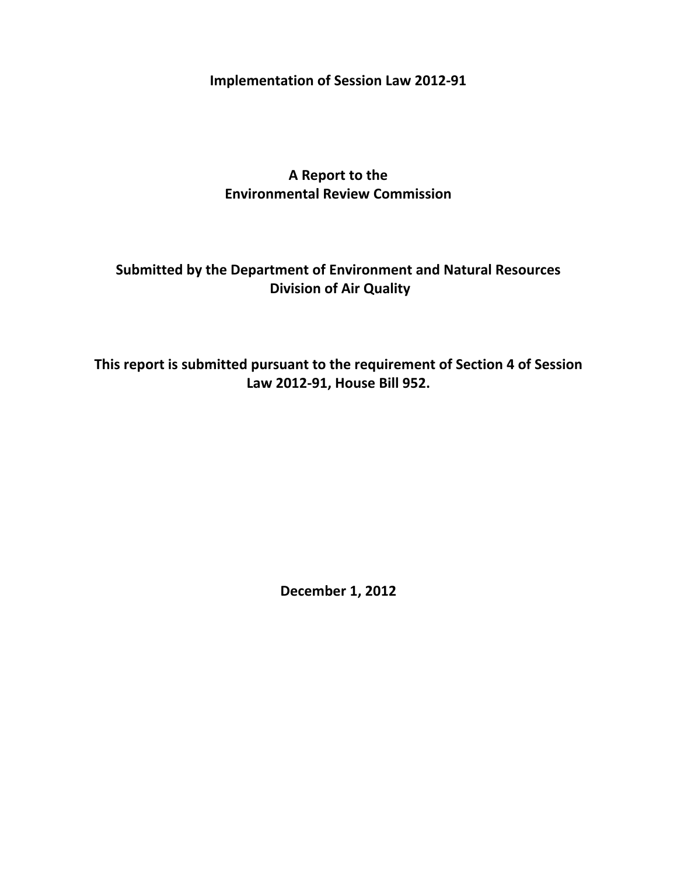**Implementation of Session Law 2012‐91**

**A Report to the Environmental Review Commission**

# **Submitted by the Department of Environment and Natural Resources Division of Air Quality**

**This report is submitted pursuant to the requirement of Section 4 of Session Law 2012‐91, House Bill 952.**

**December 1, 2012**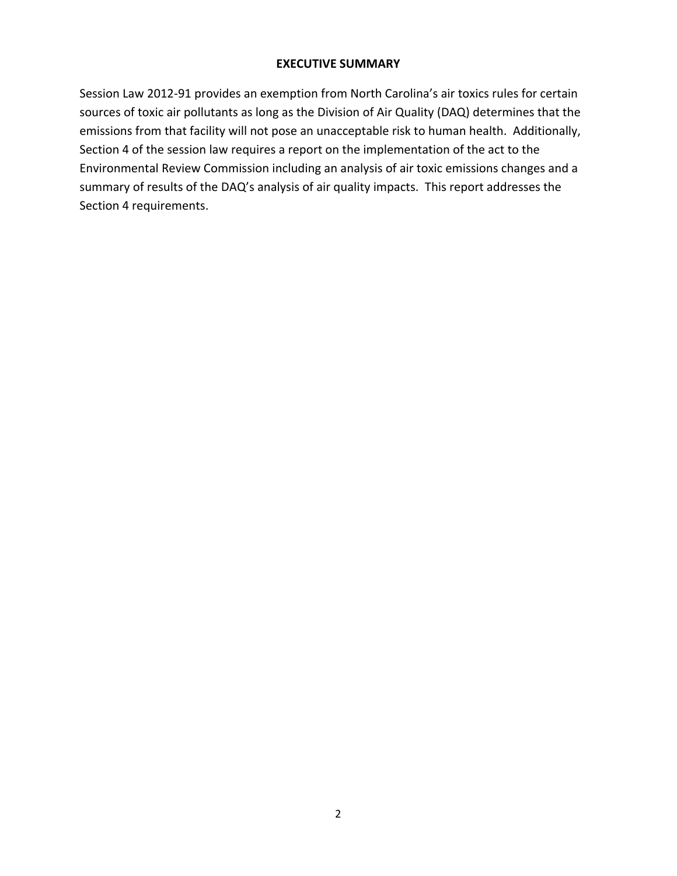# **EXECUTIVE SUMMARY**

Session Law 2012‐91 provides an exemption from North Carolina's air toxics rules for certain sources of toxic air pollutants as long as the Division of Air Quality (DAQ) determines that the emissions from that facility will not pose an unacceptable risk to human health. Additionally, Section 4 of the session law requires a report on the implementation of the act to the Environmental Review Commission including an analysis of air toxic emissions changes and a summary of results of the DAQ's analysis of air quality impacts. This report addresses the Section 4 requirements.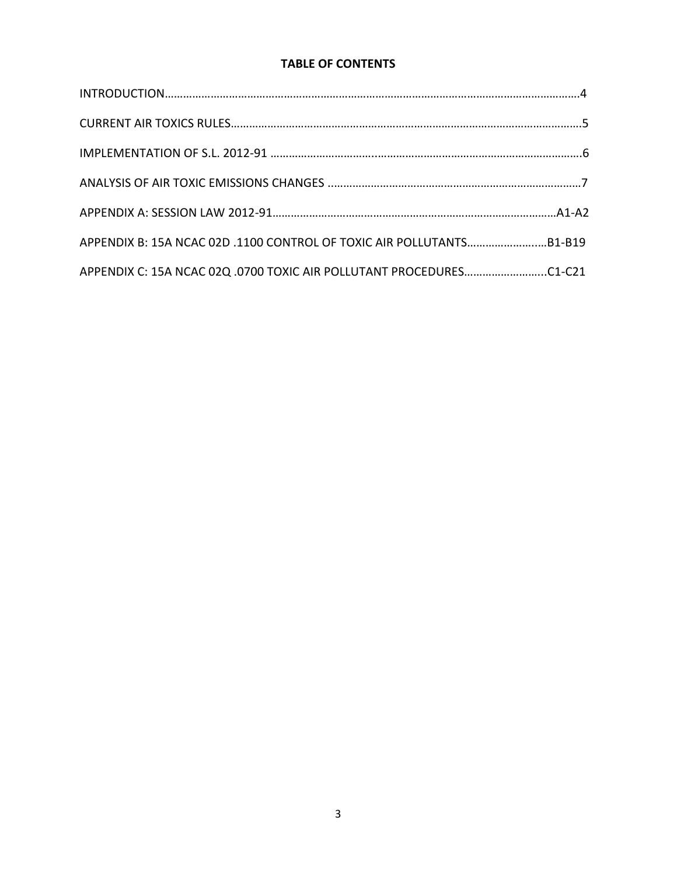# **TABLE OF CONTENTS**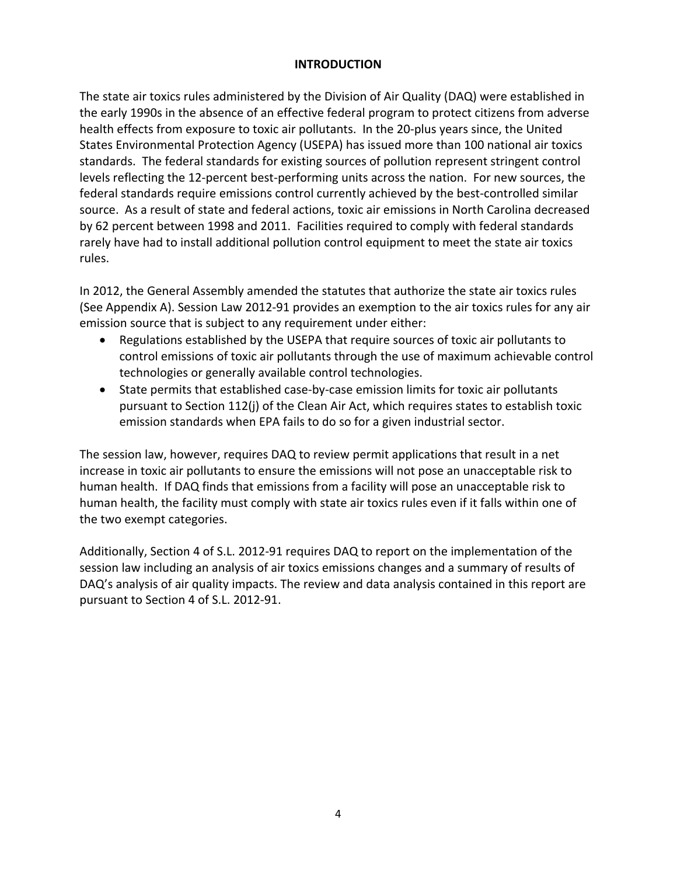## **INTRODUCTION**

The state air toxics rules administered by the Division of Air Quality (DAQ) were established in the early 1990s in the absence of an effective federal program to protect citizens from adverse health effects from exposure to toxic air pollutants. In the 20-plus years since, the United States Environmental Protection Agency (USEPA) has issued more than 100 national air toxics standards. The federal standards for existing sources of pollution represent stringent control levels reflecting the 12‐percent best‐performing units across the nation. For new sources, the federal standards require emissions control currently achieved by the best-controlled similar source. As a result of state and federal actions, toxic air emissions in North Carolina decreased by 62 percent between 1998 and 2011. Facilities required to comply with federal standards rarely have had to install additional pollution control equipment to meet the state air toxics rules.

In 2012, the General Assembly amended the statutes that authorize the state air toxics rules (See Appendix A). Session Law 2012‐91 provides an exemption to the air toxics rules for any air emission source that is subject to any requirement under either:

- Regulations established by the USEPA that require sources of toxic air pollutants to control emissions of toxic air pollutants through the use of maximum achievable control technologies or generally available control technologies.
- State permits that established case‐by‐case emission limits for toxic air pollutants pursuant to Section 112(j) of the Clean Air Act, which requires states to establish toxic emission standards when EPA fails to do so for a given industrial sector.

The session law, however, requires DAQ to review permit applications that result in a net increase in toxic air pollutants to ensure the emissions will not pose an unacceptable risk to human health. If DAQ finds that emissions from a facility will pose an unacceptable risk to human health, the facility must comply with state air toxics rules even if it falls within one of the two exempt categories.

Additionally, Section 4 of S.L. 2012‐91 requires DAQ to report on the implementation of the session law including an analysis of air toxics emissions changes and a summary of results of DAQ's analysis of air quality impacts. The review and data analysis contained in this report are pursuant to Section 4 of S.L. 2012‐91.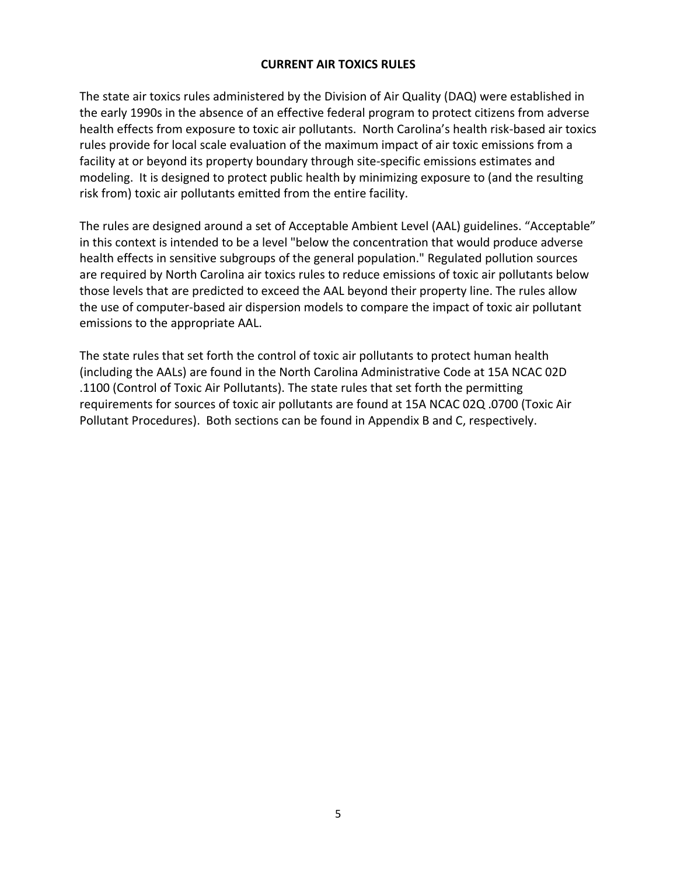## **CURRENT AIR TOXICS RULES**

The state air toxics rules administered by the Division of Air Quality (DAQ) were established in the early 1990s in the absence of an effective federal program to protect citizens from adverse health effects from exposure to toxic air pollutants. North Carolina's health risk‐based air toxics rules provide for local scale evaluation of the maximum impact of air toxic emissions from a facility at or beyond its property boundary through site-specific emissions estimates and modeling. It is designed to protect public health by minimizing exposure to (and the resulting risk from) toxic air pollutants emitted from the entire facility.

The rules are designed around a set of Acceptable Ambient Level (AAL) guidelines. "Acceptable" in this context is intended to be a level "below the concentration that would produce adverse health effects in sensitive subgroups of the general population." Regulated pollution sources are required by North Carolina air toxics rules to reduce emissions of toxic air pollutants below those levels that are predicted to exceed the AAL beyond their property line. The rules allow the use of computer‐based air dispersion models to compare the impact of toxic air pollutant emissions to the appropriate AAL.

The state rules that set forth the control of toxic air pollutants to protect human health (including the AALs) are found in the North Carolina Administrative Code at 15A NCAC 02D .1100 (Control of Toxic Air Pollutants). The state rules that set forth the permitting requirements for sources of toxic air pollutants are found at 15A NCAC 02Q .0700 (Toxic Air Pollutant Procedures). Both sections can be found in Appendix B and C, respectively.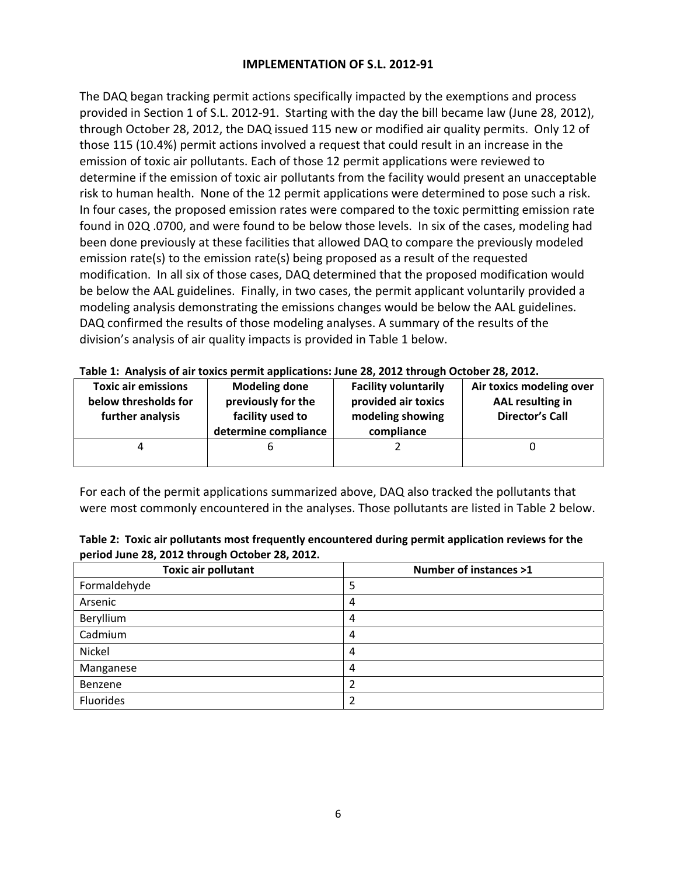## **IMPLEMENTATION OF S.L. 2012‐91**

The DAQ began tracking permit actions specifically impacted by the exemptions and process provided in Section 1 of S.L. 2012-91. Starting with the day the bill became law (June 28, 2012), through October 28, 2012, the DAQ issued 115 new or modified air quality permits. Only 12 of those 115 (10.4%) permit actions involved a request that could result in an increase in the emission of toxic air pollutants. Each of those 12 permit applications were reviewed to determine if the emission of toxic air pollutants from the facility would present an unacceptable risk to human health. None of the 12 permit applications were determined to pose such a risk. In four cases, the proposed emission rates were compared to the toxic permitting emission rate found in 02Q .0700, and were found to be below those levels. In six of the cases, modeling had been done previously at these facilities that allowed DAQ to compare the previously modeled emission rate(s) to the emission rate(s) being proposed as a result of the requested modification. In all six of those cases, DAQ determined that the proposed modification would be below the AAL guidelines. Finally, in two cases, the permit applicant voluntarily provided a modeling analysis demonstrating the emissions changes would be below the AAL guidelines. DAQ confirmed the results of those modeling analyses. A summary of the results of the division's analysis of air quality impacts is provided in Table 1 below.

| <b>Toxic air emissions</b><br>below thresholds for<br>further analysis | <b>Modeling done</b><br>previously for the<br>facility used to<br>determine compliance | <b>Facility voluntarily</b><br>provided air toxics<br>modeling showing<br>compliance | Air toxics modeling over<br>AAL resulting in<br><b>Director's Call</b> |
|------------------------------------------------------------------------|----------------------------------------------------------------------------------------|--------------------------------------------------------------------------------------|------------------------------------------------------------------------|
|                                                                        |                                                                                        |                                                                                      |                                                                        |

For each of the permit applications summarized above, DAQ also tracked the pollutants that were most commonly encountered in the analyses. Those pollutants are listed in Table 2 below.

| Table 2: Toxic air pollutants most frequently encountered during permit application reviews for the |
|-----------------------------------------------------------------------------------------------------|
| period June 28, 2012 through October 28, 2012.                                                      |

| <b>Toxic air pollutant</b> | <b>Number of instances &gt;1</b> |
|----------------------------|----------------------------------|
| Formaldehyde               | 5                                |
| Arsenic                    | 4                                |
| Beryllium                  | 4                                |
| Cadmium                    | 4                                |
| Nickel                     | 4                                |
| Manganese                  | 4                                |
| Benzene                    | 2                                |
| Fluorides                  |                                  |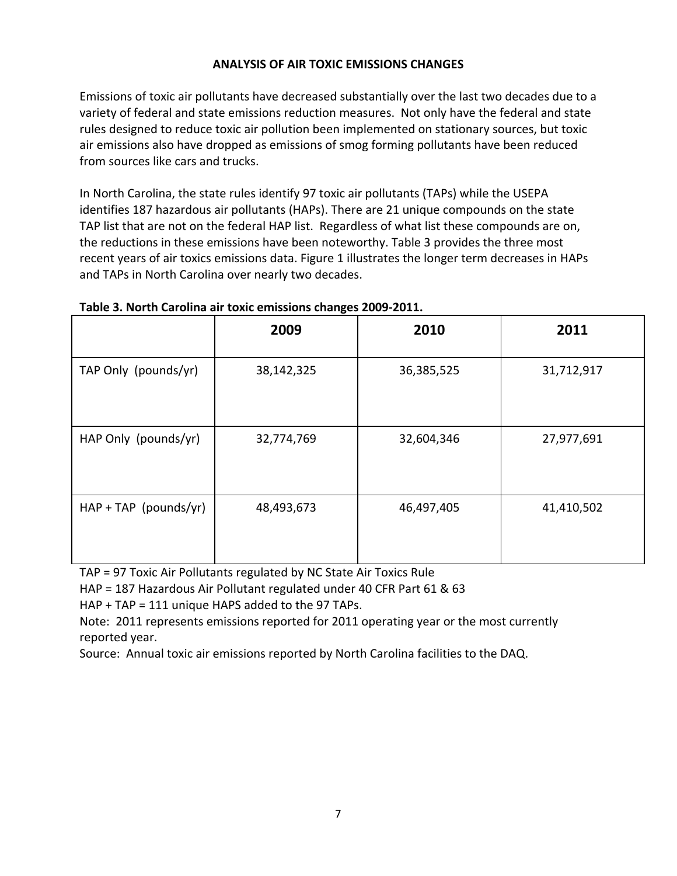# **ANALYSIS OF AIR TOXIC EMISSIONS CHANGES**

Emissions of toxic air pollutants have decreased substantially over the last two decades due to a variety of federal and state emissions reduction measures. Not only have the federal and state rules designed to reduce toxic air pollution been implemented on stationary sources, but toxic air emissions also have dropped as emissions of smog forming pollutants have been reduced from sources like cars and trucks.

In North Carolina, the state rules identify 97 toxic air pollutants (TAPs) while the USEPA identifies 187 hazardous air pollutants (HAPs). There are 21 unique compounds on the state TAP list that are not on the federal HAP list. Regardless of what list these compounds are on, the reductions in these emissions have been noteworthy. Table 3 provides the three most recent years of air toxics emissions data. Figure 1 illustrates the longer term decreases in HAPs and TAPs in North Carolina over nearly two decades.

|                         | 2009       | 2010       | 2011       |
|-------------------------|------------|------------|------------|
| TAP Only (pounds/yr)    | 38,142,325 | 36,385,525 | 31,712,917 |
| HAP Only (pounds/yr)    | 32,774,769 | 32,604,346 | 27,977,691 |
| $HAP + TAP$ (pounds/yr) | 48,493,673 | 46,497,405 | 41,410,502 |

## **Table 3. North Carolina air toxic emissions changes 2009‐2011.**

TAP = 97 Toxic Air Pollutants regulated by NC State Air Toxics Rule

HAP = 187 Hazardous Air Pollutant regulated under 40 CFR Part 61 & 63

HAP + TAP = 111 unique HAPS added to the 97 TAPs.

Note: 2011 represents emissions reported for 2011 operating year or the most currently reported year.

Source: Annual toxic air emissions reported by North Carolina facilities to the DAQ.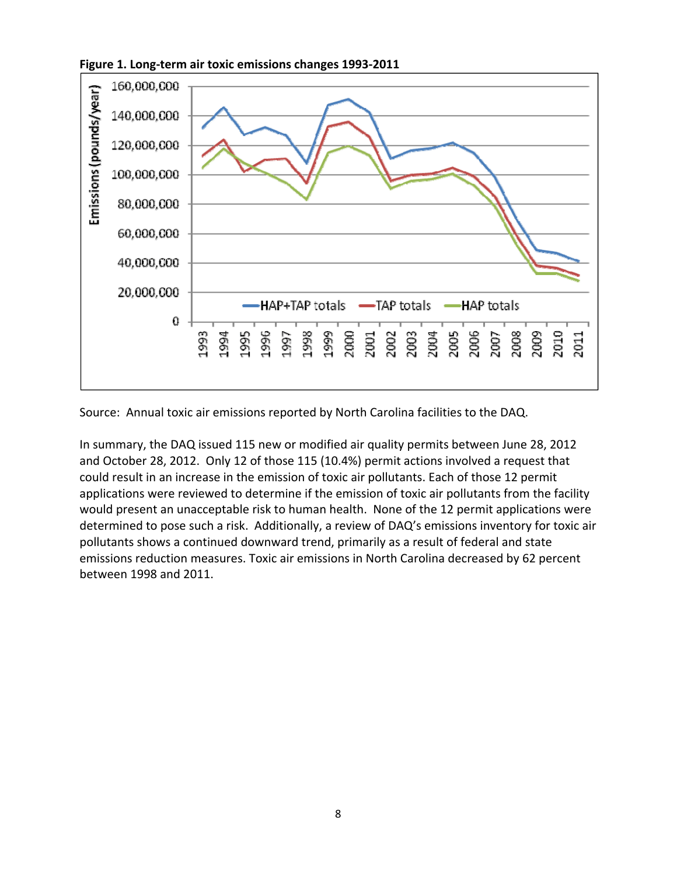



Source: Annual toxic air emissions reported by North Carolina facilities to the DAQ.

In summary, the DAQ issued 115 new or modified air quality permits between June 28, 2012 and October 28, 2012. Only 12 of those 115 (10.4%) permit actions involved a request that could result in an increase in the emission of toxic air pollutants. Each of those 12 permit applications were reviewed to determine if the emission of toxic air pollutants from the facility would present an unacceptable risk to human health. None of the 12 permit applications were determined to pose such a risk. Additionally, a review of DAQ's emissions inventory for toxic air pollutants shows a continued downward trend, primarily as a result of federal and state emissions reduction measures. Toxic air emissions in North Carolina decreased by 62 percent between 1998 and 2011.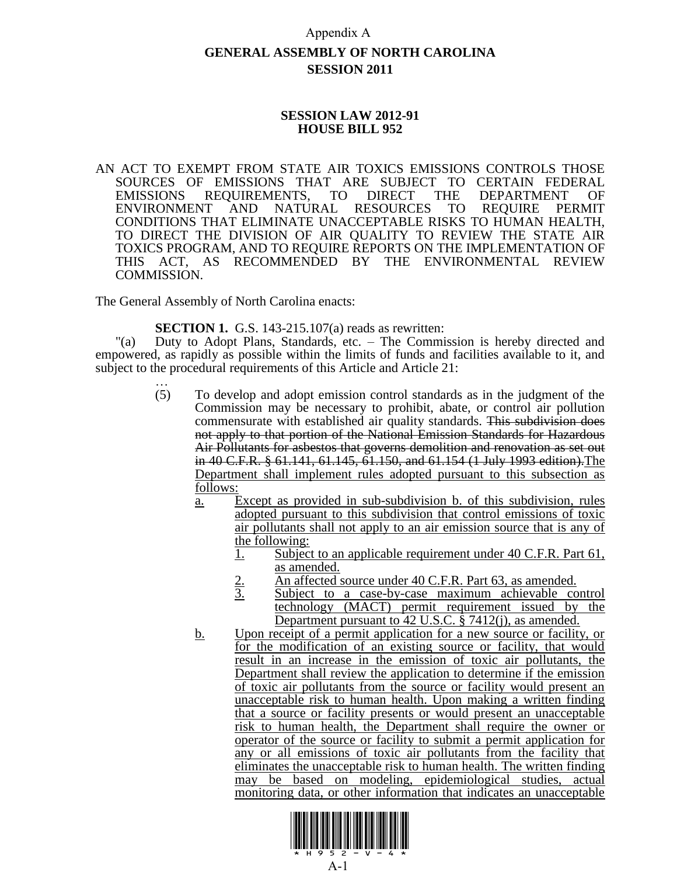## Appendix A

# **GENERAL ASSEMBLY OF NORTH CAROLINA SESSION 2011**

## **SESSION LAW 2012-91 HOUSE BILL 952**

AN ACT TO EXEMPT FROM STATE AIR TOXICS EMISSIONS CONTROLS THOSE SOURCES OF EMISSIONS THAT ARE SUBJECT TO CERTAIN FEDERAL EMISSIONS REQUIREMENTS, TO DIRECT THE DEPARTMENT OF ENVIRONMENT AND NATURAL RESOURCES TO REQUIRE PERMIT CONDITIONS THAT ELIMINATE UNACCEPTABLE RISKS TO HUMAN HEALTH, TO DIRECT THE DIVISION OF AIR QUALITY TO REVIEW THE STATE AIR TOXICS PROGRAM, AND TO REQUIRE REPORTS ON THE IMPLEMENTATION OF THIS ACT, AS RECOMMENDED BY THE ENVIRONMENTAL REVIEW COMMISSION.

The General Assembly of North Carolina enacts:

**SECTION 1.** G.S. 143-215.107(a) reads as rewritten:

"(a) Duty to Adopt Plans, Standards, etc. – The Commission is hereby directed and empowered, as rapidly as possible within the limits of funds and facilities available to it, and subject to the procedural requirements of this Article and Article 21:

- … (5) To develop and adopt emission control standards as in the judgment of the Commission may be necessary to prohibit, abate, or control air pollution commensurate with established air quality standards. This subdivision does not apply to that portion of the National Emission Standards for Hazardous Air Pollutants for asbestos that governs demolition and renovation as set out in 40 C.F.R. § 61.141, 61.145, 61.150, and 61.154 (1 July 1993 edition).The Department shall implement rules adopted pursuant to this subsection as follows:
	- a. Except as provided in sub-subdivision b. of this subdivision, rules adopted pursuant to this subdivision that control emissions of toxic air pollutants shall not apply to an air emission source that is any of the following:
		- 1. Subject to an applicable requirement under 40 C.F.R. Part 61, as amended.
		- 2. An affected source under 40 C.F.R. Part 63, as amended.<br>3. Subject to a case-by-case maximum achievable co
		- Subject to a case-by-case maximum achievable control technology (MACT) permit requirement issued by the Department pursuant to 42 U.S.C. § 7412(j), as amended.
	- b. Upon receipt of a permit application for a new source or facility, or for the modification of an existing source or facility, that would result in an increase in the emission of toxic air pollutants, the Department shall review the application to determine if the emission of toxic air pollutants from the source or facility would present an unacceptable risk to human health. Upon making a written finding that a source or facility presents or would present an unacceptable risk to human health, the Department shall require the owner or operator of the source or facility to submit a permit application for any or all emissions of toxic air pollutants from the facility that eliminates the unacceptable risk to human health. The written finding may be based on modeling, epidemiological studies, actual monitoring data, or other information that indicates an unacceptable

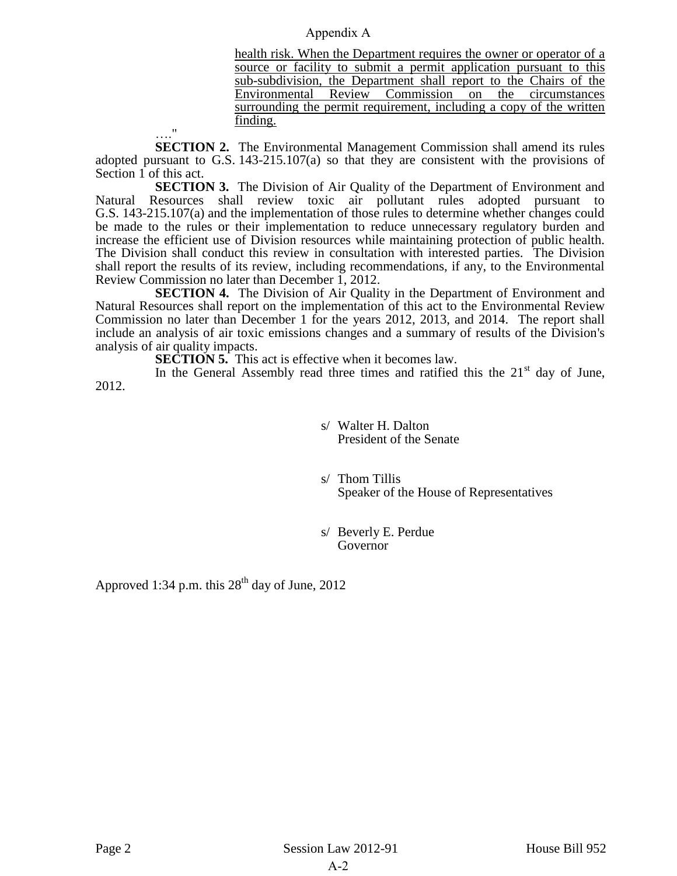## Appendix A

health risk. When the Department requires the owner or operator of a source or facility to submit a permit application pursuant to this sub-subdivision, the Department shall report to the Chairs of the Environmental Review Commission on the circumstances surrounding the permit requirement, including a copy of the written finding.

…." **SECTION 2.** The Environmental Management Commission shall amend its rules adopted pursuant to G.S. 143-215.107(a) so that they are consistent with the provisions of Section 1 of this act.

**SECTION 3.** The Division of Air Quality of the Department of Environment and Natural Resources shall review toxic air pollutant rules adopted pursuant to G.S. 143-215.107(a) and the implementation of those rules to determine whether changes could be made to the rules or their implementation to reduce unnecessary regulatory burden and increase the efficient use of Division resources while maintaining protection of public health. The Division shall conduct this review in consultation with interested parties. The Division shall report the results of its review, including recommendations, if any, to the Environmental Review Commission no later than December 1, 2012.

**SECTION 4.** The Division of Air Quality in the Department of Environment and Natural Resources shall report on the implementation of this act to the Environmental Review Commission no later than December 1 for the years 2012, 2013, and 2014. The report shall include an analysis of air toxic emissions changes and a summary of results of the Division's analysis of air quality impacts.

**SECTION 5.** This act is effective when it becomes law.

In the General Assembly read three times and ratified this the  $21<sup>st</sup>$  day of June, 2012.

> s/ Walter H. Dalton President of the Senate

s/ Thom Tillis Speaker of the House of Representatives

s/ Beverly E. Perdue Governor

Approved 1:34 p.m. this  $28<sup>th</sup>$  day of June, 2012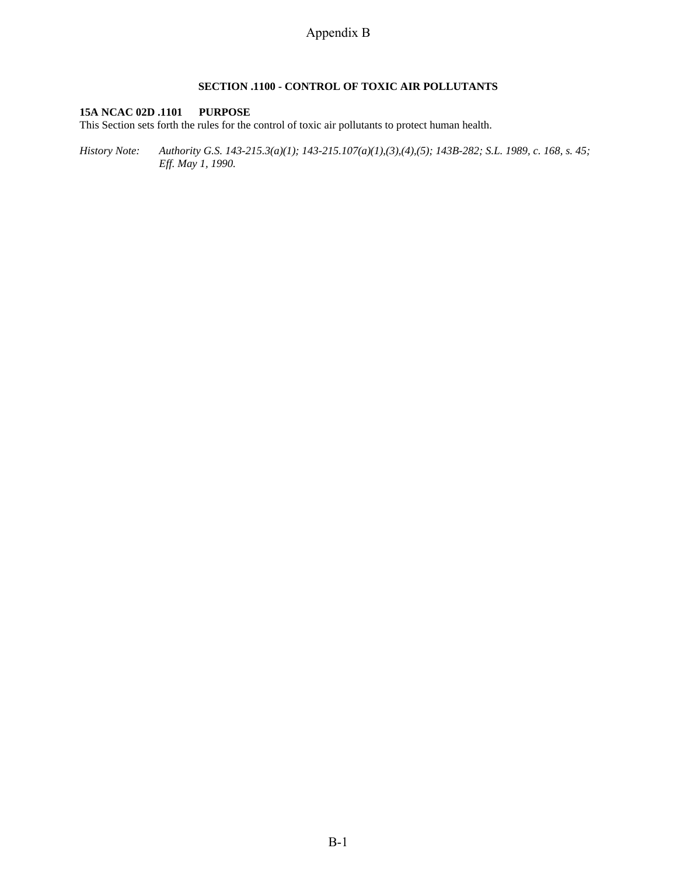## **SECTION .1100 - CONTROL OF TOXIC AIR POLLUTANTS**

#### **15A NCAC 02D .1101 PURPOSE**

This Section sets forth the rules for the control of toxic air pollutants to protect human health.

*History Note: Authority G.S. 143-215.3(a)(1); 143-215.107(a)(1),(3),(4),(5); 143B-282; S.L. 1989, c. 168, s. 45; Eff. May 1, 1990.*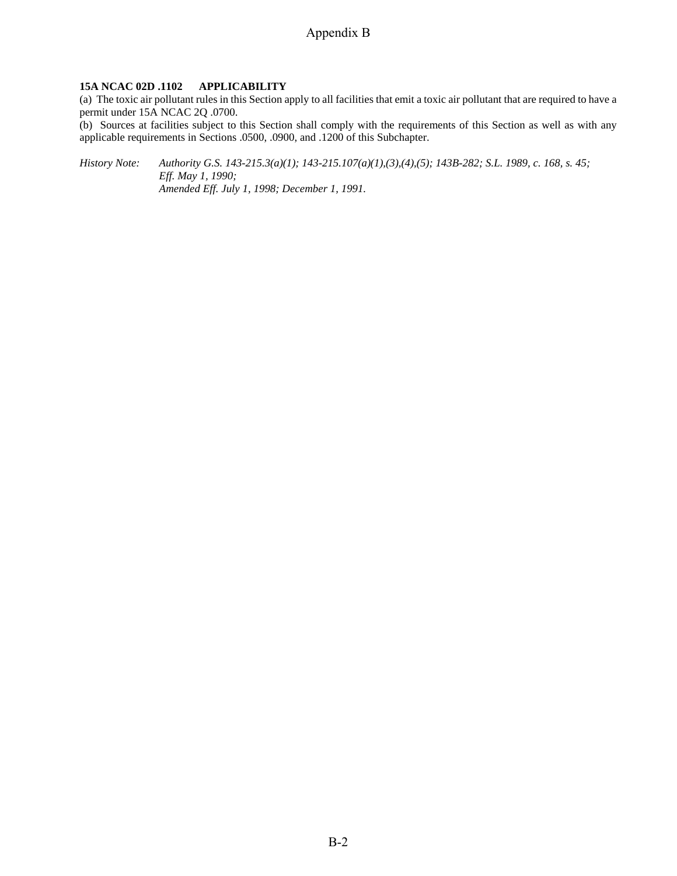### **15A NCAC 02D .1102 APPLICABILITY**

(a) The toxic air pollutant rules in this Section apply to all facilities that emit a toxic air pollutant that are required to have a permit under 15A NCAC 2Q .0700.

(b) Sources at facilities subject to this Section shall comply with the requirements of this Section as well as with any applicable requirements in Sections .0500, .0900, and .1200 of this Subchapter.

*History Note: Authority G.S. 143-215.3(a)(1); 143-215.107(a)(1),(3),(4),(5); 143B-282; S.L. 1989, c. 168, s. 45; Eff. May 1, 1990; Amended Eff. July 1, 1998; December 1, 1991.*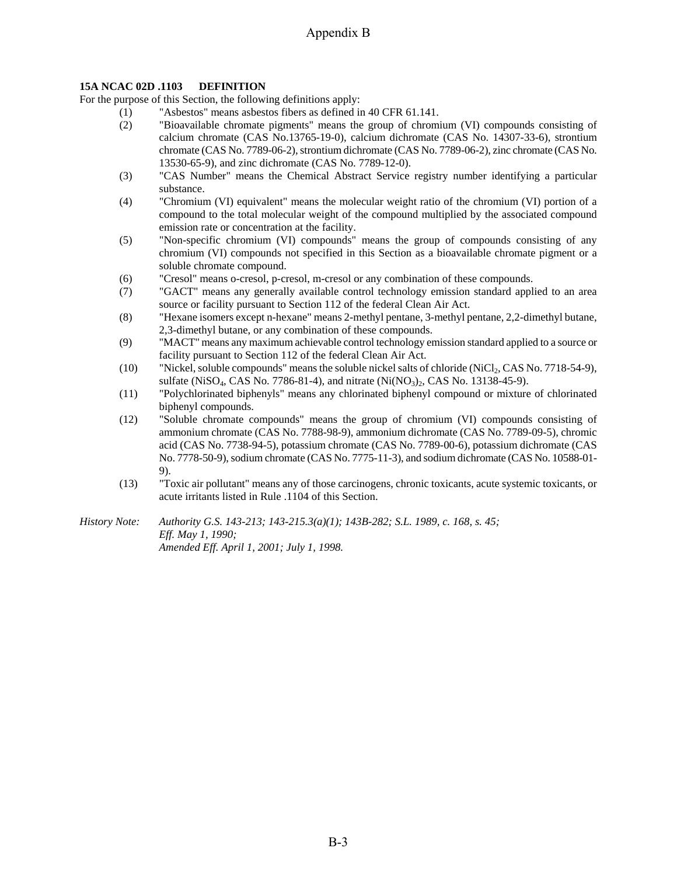## **15A NCAC 02D .1103 DEFINITION**

For the purpose of this Section, the following definitions apply:

- (1) "Asbestos" means asbestos fibers as defined in 40 CFR 61.141.
- (2) "Bioavailable chromate pigments" means the group of chromium (VI) compounds consisting of calcium chromate (CAS No.13765-19-0), calcium dichromate (CAS No. 14307-33-6), strontium chromate (CAS No. 7789-06-2), strontium dichromate (CAS No. 7789-06-2), zinc chromate (CAS No. 13530-65-9), and zinc dichromate (CAS No. 7789-12-0).
- (3) "CAS Number" means the Chemical Abstract Service registry number identifying a particular substance.
- (4) "Chromium (VI) equivalent" means the molecular weight ratio of the chromium (VI) portion of a compound to the total molecular weight of the compound multiplied by the associated compound emission rate or concentration at the facility.
- (5) "Non-specific chromium (VI) compounds" means the group of compounds consisting of any chromium (VI) compounds not specified in this Section as a bioavailable chromate pigment or a soluble chromate compound.
- (6) "Cresol" means o-cresol, p-cresol, m-cresol or any combination of these compounds.
- (7) "GACT" means any generally available control technology emission standard applied to an area source or facility pursuant to Section 112 of the federal Clean Air Act.
- (8) "Hexane isomers except n-hexane" means 2-methyl pentane, 3-methyl pentane, 2,2-dimethyl butane, 2,3-dimethyl butane, or any combination of these compounds.
- (9) "MACT" means any maximum achievable control technology emission standard applied to a source or facility pursuant to Section 112 of the federal Clean Air Act.
- (10) "Nickel, soluble compounds" means the soluble nickel salts of chloride (NiCl<sub>2</sub>, CAS No. 7718-54-9), sulfate (NiSO<sub>4</sub>, CAS No. 7786-81-4), and nitrate (Ni(NO<sub>3</sub>)<sub>2</sub>, CAS No. 13138-45-9).
- (11) "Polychlorinated biphenyls" means any chlorinated biphenyl compound or mixture of chlorinated biphenyl compounds.
- (12) "Soluble chromate compounds" means the group of chromium (VI) compounds consisting of ammonium chromate (CAS No. 7788-98-9), ammonium dichromate (CAS No. 7789-09-5), chromic acid (CAS No. 7738-94-5), potassium chromate (CAS No. 7789-00-6), potassium dichromate (CAS No. 7778-50-9), sodium chromate (CAS No. 7775-11-3), and sodium dichromate (CAS No. 10588-01- 9).
- (13) "Toxic air pollutant" means any of those carcinogens, chronic toxicants, acute systemic toxicants, or acute irritants listed in Rule .1104 of this Section.
- *History Note: Authority G.S. 143-213; 143-215.3(a)(1); 143B-282; S.L. 1989, c. 168, s. 45; Eff. May 1, 1990; Amended Eff. April 1, 2001; July 1, 1998.*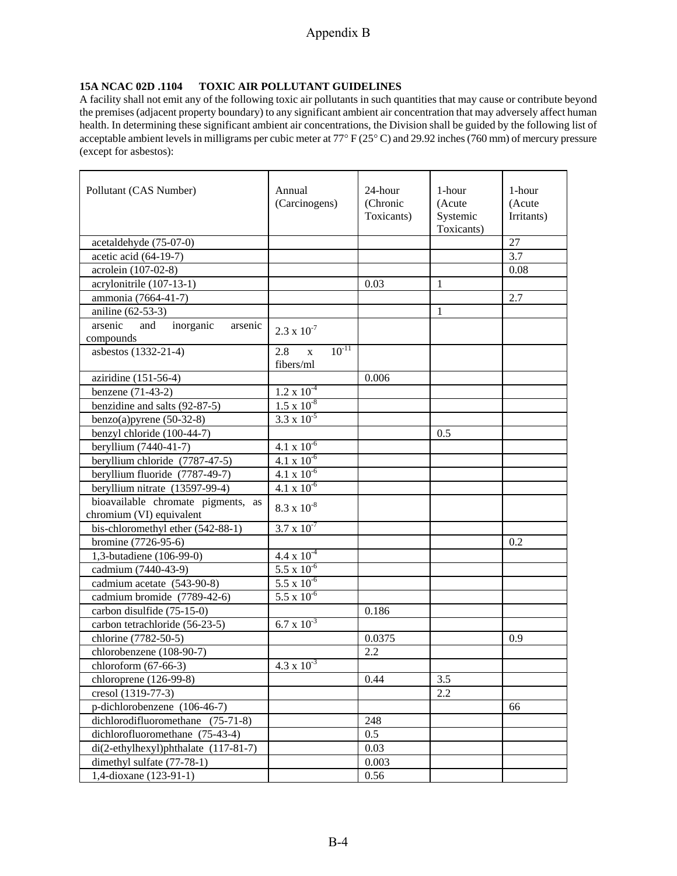## **15A NCAC 02D .1104 TOXIC AIR POLLUTANT GUIDELINES**

A facility shall not emit any of the following toxic air pollutants in such quantities that may cause or contribute beyond the premises (adjacent property boundary) to any significant ambient air concentration that may adversely affect human health. In determining these significant ambient air concentrations, the Division shall be guided by the following list of acceptable ambient levels in milligrams per cubic meter at 77° F (25° C) and 29.92 inches (760 mm) of mercury pressure (except for asbestos):

| Pollutant (CAS Number)                    | Annual<br>(Carcinogens)             | 24-hour<br>(Chronic<br>Toxicants) | 1-hour<br>(Acute<br>Systemic<br>Toxicants) | 1-hour<br>(Acute<br>Irritants) |
|-------------------------------------------|-------------------------------------|-----------------------------------|--------------------------------------------|--------------------------------|
| acetaldehyde (75-07-0)                    |                                     |                                   |                                            | 27                             |
| acetic acid (64-19-7)                     |                                     |                                   |                                            | 3.7                            |
| acrolein (107-02-8)                       |                                     |                                   |                                            | 0.08                           |
| acrylonitrile (107-13-1)                  |                                     | 0.03                              | 1                                          |                                |
| ammonia (7664-41-7)                       |                                     |                                   |                                            | 2.7                            |
| aniline (62-53-3)                         |                                     |                                   | 1                                          |                                |
| arsenic<br>inorganic<br>and<br>arsenic    | $2.3 \times 10^{-7}$                |                                   |                                            |                                |
| compounds                                 |                                     |                                   |                                            |                                |
| asbestos (1332-21-4)                      | $10^{-11}$<br>2.8<br>$\bar{X}$      |                                   |                                            |                                |
|                                           | fibers/ml                           |                                   |                                            |                                |
| aziridine (151-56-4)                      |                                     | 0.006                             |                                            |                                |
| benzene (71-43-2)                         | $1.2 \times 10^{-4}$                |                                   |                                            |                                |
| benzidine and salts (92-87-5)             | $1.5 \times 10^{-8}$                |                                   |                                            |                                |
| benzo $(a)$ pyrene $(50-32-8)$            | $3.3 \times 10^{-5}$                |                                   |                                            |                                |
| benzyl chloride (100-44-7)                |                                     |                                   | 0.5                                        |                                |
| beryllium (7440-41-7)                     | 4.1 $\overline{x}$ 10 <sup>-6</sup> |                                   |                                            |                                |
| beryllium chloride (7787-47-5)            | $4.1 \times 10^{-6}$                |                                   |                                            |                                |
| beryllium fluoride (7787-49-7)            | $4.1 \times 10^{-6}$                |                                   |                                            |                                |
| beryllium nitrate (13597-99-4)            | $4.1 \times 10^{-6}$                |                                   |                                            |                                |
| bioavailable chromate pigments, as        | $8.3 \times 10^{-8}$                |                                   |                                            |                                |
| chromium (VI) equivalent                  |                                     |                                   |                                            |                                |
| bis-chloromethyl ether (542-88-1)         | $3.7 \times 10^{-7}$                |                                   |                                            |                                |
| bromine (7726-95-6)                       |                                     |                                   |                                            | 0.2                            |
| 1,3-butadiene (106-99-0)                  | $4.4 \times 10^{-4}$                |                                   |                                            |                                |
| cadmium (7440-43-9)                       | $5.5 \times 10^{-6}$                |                                   |                                            |                                |
| cadmium acetate (543-90-8)                | $5.5 \times 10^{-6}$                |                                   |                                            |                                |
| cadmium bromide (7789-42-6)               | $5.5 \times 10^{-6}$                |                                   |                                            |                                |
| carbon disulfide (75-15-0)                |                                     | 0.186                             |                                            |                                |
| carbon tetrachloride (56-23-5)            | $6.7 \times 10^{-3}$                |                                   |                                            |                                |
| chlorine (7782-50-5)                      |                                     | 0.0375                            |                                            | 0.9                            |
| chlorobenzene (108-90-7)                  |                                     | 2.2                               |                                            |                                |
| chloroform $(67-66-3)$                    | $4.3 \times 10^{-3}$                |                                   |                                            |                                |
| chloroprene $(126-99-8)$                  |                                     | 0.44                              | 3.5                                        |                                |
| cresol (1319-77-3)                        |                                     |                                   | 2.2                                        |                                |
| p-dichlorobenzene (106-46-7)              |                                     |                                   |                                            | 66                             |
| dichlorodifluoromethane (75-71-8)         |                                     | 248                               |                                            |                                |
| dichlorofluoromethane (75-43-4)           |                                     | 0.5                               |                                            |                                |
| $di(2-ethylhexyl)$ phthalate $(117-81-7)$ |                                     | 0.03                              |                                            |                                |
| dimethyl sulfate (77-78-1)                |                                     | 0.003                             |                                            |                                |
| 1,4-dioxane (123-91-1)                    |                                     | 0.56                              |                                            |                                |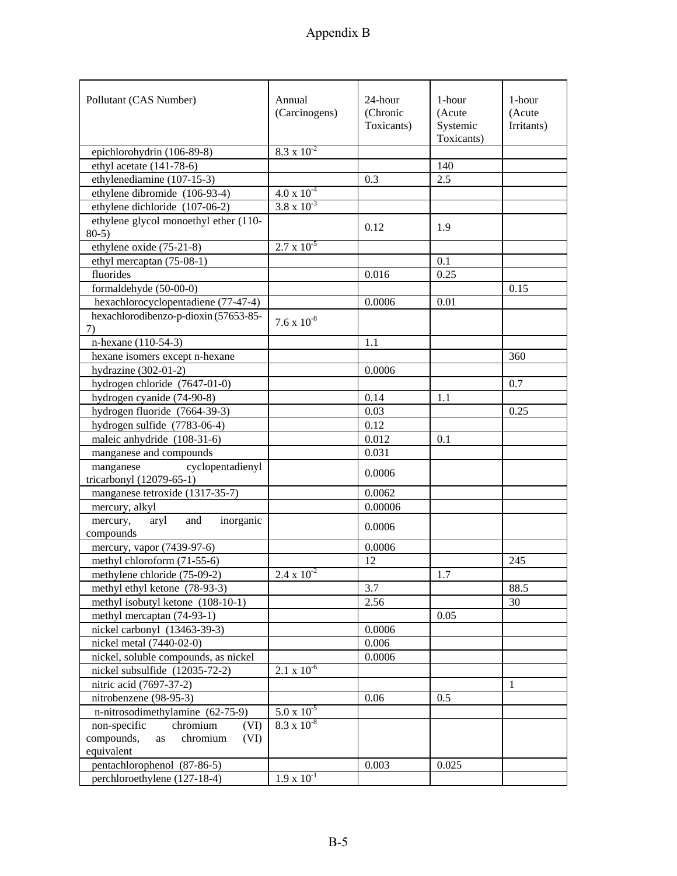| Pollutant (CAS Number)                                             | Annual<br>(Carcinogens) | 24-hour<br>(Chronic<br>Toxicants) | 1-hour<br>(Acute<br>Systemic<br>Toxicants) | 1-hour<br>(Acute<br>Irritants) |
|--------------------------------------------------------------------|-------------------------|-----------------------------------|--------------------------------------------|--------------------------------|
| epichlorohydrin (106-89-8)                                         | $8.3 \times 10^{-2}$    |                                   |                                            |                                |
| ethyl acetate (141-78-6)                                           |                         |                                   | 140                                        |                                |
| ethylenediamine (107-15-3)                                         |                         | 0.3                               | 2.5                                        |                                |
| ethylene dibromide (106-93-4)                                      | $4.0 \times 10^{-4}$    |                                   |                                            |                                |
| ethylene dichloride (107-06-2)                                     | $3.8 \times 10^{-3}$    |                                   |                                            |                                |
| ethylene glycol monoethyl ether (110-                              |                         |                                   |                                            |                                |
| $80-5$ )                                                           |                         | 0.12                              | 1.9                                        |                                |
| ethylene oxide (75-21-8)                                           | $2.7 \times 10^{-5}$    |                                   |                                            |                                |
| ethyl mercaptan (75-08-1)                                          |                         |                                   | 0.1                                        |                                |
| fluorides                                                          |                         | 0.016                             | 0.25                                       |                                |
| formaldehyde (50-00-0)                                             |                         |                                   |                                            | 0.15                           |
| hexachlorocyclopentadiene (77-47-4)                                |                         | 0.0006                            | 0.01                                       |                                |
| hexachlorodibenzo-p-dioxin (57653-85-                              |                         |                                   |                                            |                                |
| 7)                                                                 | $7.6 \times 10^{-8}$    |                                   |                                            |                                |
| n-hexane (110-54-3)                                                |                         | 1.1                               |                                            |                                |
| hexane isomers except n-hexane                                     |                         |                                   |                                            | 360                            |
| hydrazine $(302-01-2)$                                             |                         | 0.0006                            |                                            |                                |
| hydrogen chloride (7647-01-0)                                      |                         |                                   |                                            | 0.7                            |
| hydrogen cyanide (74-90-8)                                         |                         | 0.14                              | 1.1                                        |                                |
| hydrogen fluoride (7664-39-3)                                      |                         | 0.03                              |                                            | 0.25                           |
|                                                                    |                         | 0.12                              |                                            |                                |
| hydrogen sulfide (7783-06-4)<br>maleic anhydride (108-31-6)        |                         | 0.012                             | 0.1                                        |                                |
| manganese and compounds                                            |                         |                                   |                                            |                                |
|                                                                    |                         | 0.031                             |                                            |                                |
| cyclopentadienyl<br>manganese<br>tricarbonyl (12079-65-1)          |                         | 0.0006                            |                                            |                                |
|                                                                    |                         | 0.0062                            |                                            |                                |
| manganese tetroxide (1317-35-7)                                    |                         |                                   |                                            |                                |
| mercury, alkyl<br>inorganic                                        |                         | 0.00006                           |                                            |                                |
| and<br>mercury,<br>aryl<br>compounds                               |                         | 0.0006                            |                                            |                                |
| mercury, vapor (7439-97-6)                                         |                         | 0.0006                            |                                            |                                |
| methyl chloroform (71-55-6)                                        |                         | 12                                |                                            | 245                            |
| methylene chloride (75-09-2)                                       | $2.4 \times 10^{-2}$    |                                   | 1.7                                        |                                |
| methyl ethyl ketone (78-93-3)                                      |                         | 3.7                               |                                            | 88.5                           |
| methyl isobutyl ketone (108-10-1)                                  |                         | 2.56                              |                                            | 30                             |
| methyl mercaptan (74-93-1)                                         |                         |                                   | 0.05                                       |                                |
| nickel carbonyl (13463-39-3)                                       |                         | 0.0006                            |                                            |                                |
|                                                                    |                         |                                   |                                            |                                |
| nickel metal (7440-02-0)                                           |                         | 0.006                             |                                            |                                |
| nickel, soluble compounds, as nickel                               | $2.1 \times 10^{-6}$    | 0.0006                            |                                            |                                |
| nickel subsulfide (12035-72-2)<br>nitric acid (7697-37-2)          |                         |                                   |                                            |                                |
|                                                                    |                         |                                   |                                            | 1                              |
| nitrobenzene (98-95-3)                                             | $5.0 \times 10^{-5}$    | 0.06                              | 0.5                                        |                                |
| n-nitrosodimethylamine (62-75-9)                                   | $8.3 \times 10^{-8}$    |                                   |                                            |                                |
| non-specific<br>chromium<br>(VI)<br>chromium<br>compounds,<br>(VI) |                         |                                   |                                            |                                |
| as<br>equivalent                                                   |                         |                                   |                                            |                                |
| pentachlorophenol (87-86-5)                                        |                         | 0.003                             | 0.025                                      |                                |
| perchloroethylene (127-18-4)                                       | $1.9 \times 10^{-1}$    |                                   |                                            |                                |
|                                                                    |                         |                                   |                                            |                                |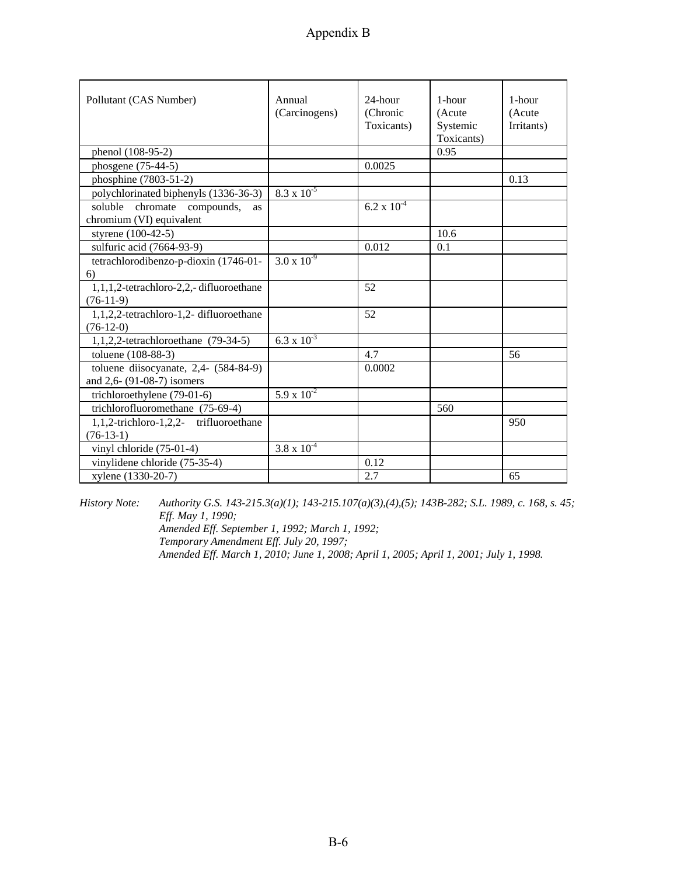| Pollutant (CAS Number)                                        | Annual<br>(Carcinogens) | 24-hour<br>(Chronic<br>Toxicants) | 1-hour<br>(Acute<br>Systemic<br>Toxicants) | 1-hour<br>(Acute<br>Irritants) |
|---------------------------------------------------------------|-------------------------|-----------------------------------|--------------------------------------------|--------------------------------|
| phenol (108-95-2)                                             |                         |                                   | 0.95                                       |                                |
| phosgene (75-44-5)                                            |                         | 0.0025                            |                                            |                                |
| phosphine (7803-51-2)                                         |                         |                                   |                                            | 0.13                           |
| polychlorinated biphenyls (1336-36-3)                         | $8.3 \times 10^{-5}$    |                                   |                                            |                                |
| soluble chromate compounds,<br>as<br>chromium (VI) equivalent |                         | $6.2 \times 10^{-4}$              |                                            |                                |
| styrene (100-42-5)                                            |                         |                                   | 10.6                                       |                                |
| sulfuric acid (7664-93-9)                                     |                         | 0.012                             | 0.1                                        |                                |
| tetrachlorodibenzo-p-dioxin (1746-01-                         | $3.0 \times 10^{-9}$    |                                   |                                            |                                |
| 6)                                                            |                         |                                   |                                            |                                |
| 1,1,1,2-tetrachloro-2,2,-difluoroethane                       |                         | 52                                |                                            |                                |
| $(76-11-9)$                                                   |                         |                                   |                                            |                                |
| 1,1,2,2-tetrachloro-1,2- difluoroethane                       |                         | 52                                |                                            |                                |
| $(76-12-0)$                                                   |                         |                                   |                                            |                                |
| $1,1,2,2$ -tetrachloroethane (79-34-5)                        | $6.3 \times 10^{-3}$    |                                   |                                            |                                |
| toluene (108-88-3)                                            |                         | 4.7                               |                                            | 56                             |
| toluene diisocyanate, 2,4- (584-84-9)                         |                         | 0.0002                            |                                            |                                |
| and 2,6- (91-08-7) isomers                                    |                         |                                   |                                            |                                |
| trichloroethylene (79-01-6)                                   | $5.9 \times 10^{-2}$    |                                   |                                            |                                |
| trichlorofluoromethane (75-69-4)                              |                         |                                   | 560                                        |                                |
| 1,1,2-trichloro-1,2,2- trifluoroethane                        |                         |                                   |                                            | 950                            |
| $(76-13-1)$                                                   |                         |                                   |                                            |                                |
| vinyl chloride (75-01-4)                                      | $3.8 \times 10^{-4}$    |                                   |                                            |                                |
| vinylidene chloride (75-35-4)                                 |                         | 0.12                              |                                            |                                |
| xylene (1330-20-7)                                            |                         | 2.7                               |                                            | 65                             |

*History Note: Authority G.S. 143-215.3(a)(1); 143-215.107(a)(3),(4),(5); 143B-282; S.L. 1989, c. 168, s. 45; Eff. May 1, 1990; Amended Eff. September 1, 1992; March 1, 1992; Temporary Amendment Eff. July 20, 1997; Amended Eff. March 1, 2010; June 1, 2008; April 1, 2005; April 1, 2001; July 1, 1998.*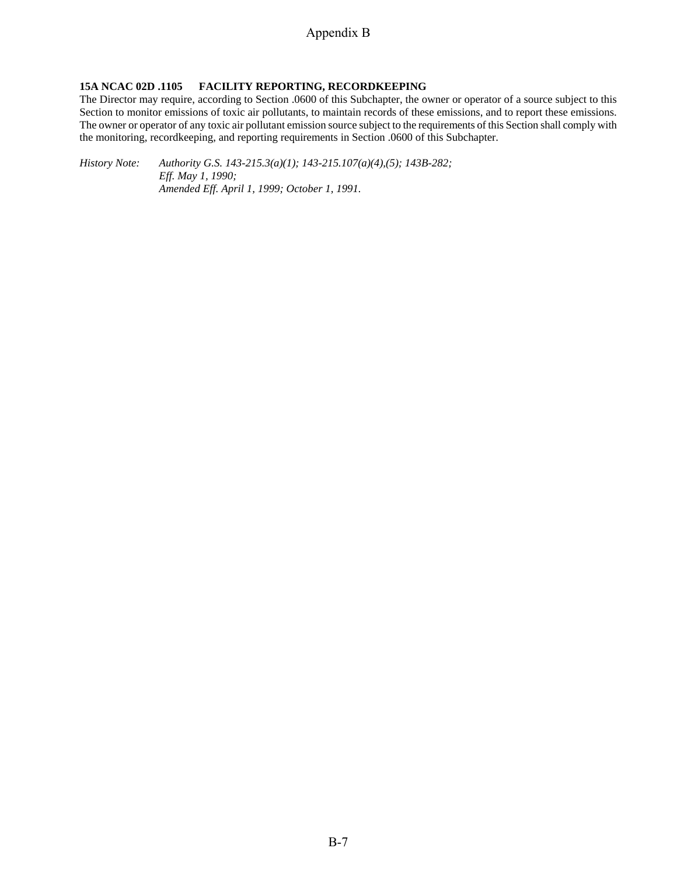## **15A NCAC 02D .1105 FACILITY REPORTING, RECORDKEEPING**

The Director may require, according to Section .0600 of this Subchapter, the owner or operator of a source subject to this Section to monitor emissions of toxic air pollutants, to maintain records of these emissions, and to report these emissions. The owner or operator of any toxic air pollutant emission source subject to the requirements of this Section shall comply with the monitoring, recordkeeping, and reporting requirements in Section .0600 of this Subchapter.

*History Note: Authority G.S. 143-215.3(a)(1); 143-215.107(a)(4),(5); 143B-282; Eff. May 1, 1990; Amended Eff. April 1, 1999; October 1, 1991.*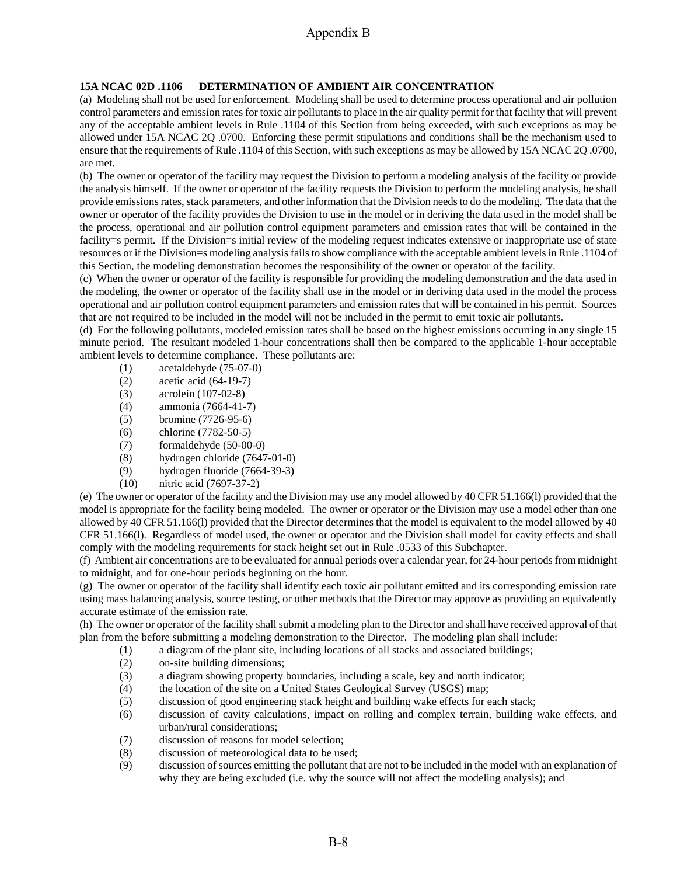## **15A NCAC 02D .1106 DETERMINATION OF AMBIENT AIR CONCENTRATION**

(a) Modeling shall not be used for enforcement. Modeling shall be used to determine process operational and air pollution control parameters and emission rates for toxic air pollutants to place in the air quality permit for that facility that will prevent any of the acceptable ambient levels in Rule .1104 of this Section from being exceeded, with such exceptions as may be allowed under 15A NCAC 2Q .0700. Enforcing these permit stipulations and conditions shall be the mechanism used to ensure that the requirements of Rule .1104 of this Section, with such exceptions as may be allowed by 15A NCAC 2Q .0700, are met.

(b) The owner or operator of the facility may request the Division to perform a modeling analysis of the facility or provide the analysis himself. If the owner or operator of the facility requests the Division to perform the modeling analysis, he shall provide emissions rates, stack parameters, and other information that the Division needs to do the modeling. The data that the owner or operator of the facility provides the Division to use in the model or in deriving the data used in the model shall be the process, operational and air pollution control equipment parameters and emission rates that will be contained in the facility=s permit. If the Division=s initial review of the modeling request indicates extensive or inappropriate use of state resources or if the Division=s modeling analysis fails to show compliance with the acceptable ambient levels in Rule .1104 of this Section, the modeling demonstration becomes the responsibility of the owner or operator of the facility.

(c) When the owner or operator of the facility is responsible for providing the modeling demonstration and the data used in the modeling, the owner or operator of the facility shall use in the model or in deriving data used in the model the process operational and air pollution control equipment parameters and emission rates that will be contained in his permit. Sources that are not required to be included in the model will not be included in the permit to emit toxic air pollutants.

(d) For the following pollutants, modeled emission rates shall be based on the highest emissions occurring in any single 15 minute period. The resultant modeled 1-hour concentrations shall then be compared to the applicable 1-hour acceptable ambient levels to determine compliance. These pollutants are:

- (1) acetaldehyde (75-07-0)
- (2) acetic acid (64-19-7)
- (3) acrolein (107-02-8)
- (4) ammonia (7664-41-7)
- (5) bromine (7726-95-6)
- (6) chlorine (7782-50-5)
- (7) formaldehyde (50-00-0)
- (8) hydrogen chloride (7647-01-0)
- (9) hydrogen fluoride (7664-39-3)
- (10) nitric acid (7697-37-2)

(e) The owner or operator of the facility and the Division may use any model allowed by 40 CFR 51.166(l) provided that the model is appropriate for the facility being modeled. The owner or operator or the Division may use a model other than one allowed by 40 CFR 51.166(l) provided that the Director determines that the model is equivalent to the model allowed by 40 CFR 51.166(l). Regardless of model used, the owner or operator and the Division shall model for cavity effects and shall comply with the modeling requirements for stack height set out in Rule .0533 of this Subchapter.

(f) Ambient air concentrations are to be evaluated for annual periods over a calendar year, for 24-hour periods from midnight to midnight, and for one-hour periods beginning on the hour.

(g) The owner or operator of the facility shall identify each toxic air pollutant emitted and its corresponding emission rate using mass balancing analysis, source testing, or other methods that the Director may approve as providing an equivalently accurate estimate of the emission rate.

(h) The owner or operator of the facility shall submit a modeling plan to the Director and shall have received approval of that plan from the before submitting a modeling demonstration to the Director. The modeling plan shall include:

- (1) a diagram of the plant site, including locations of all stacks and associated buildings;
- (2) on-site building dimensions;
- (3) a diagram showing property boundaries, including a scale, key and north indicator;
- (4) the location of the site on a United States Geological Survey (USGS) map;
- (5) discussion of good engineering stack height and building wake effects for each stack;
- (6) discussion of cavity calculations, impact on rolling and complex terrain, building wake effects, and urban/rural considerations;
- (7) discussion of reasons for model selection;
- (8) discussion of meteorological data to be used;
- (9) discussion of sources emitting the pollutant that are not to be included in the model with an explanation of why they are being excluded (i.e. why the source will not affect the modeling analysis); and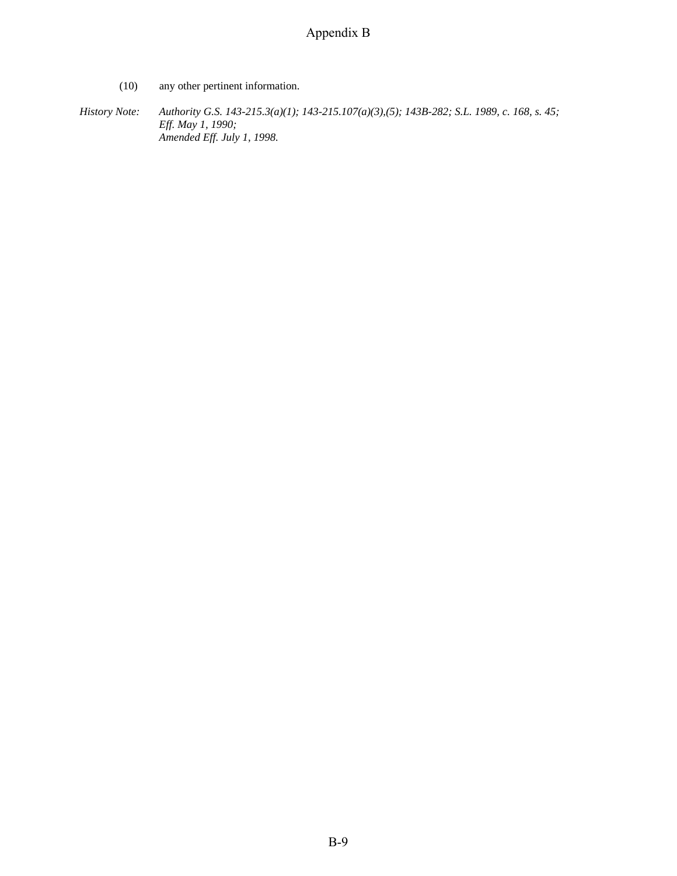(10) any other pertinent information.

*History Note: Authority G.S. 143-215.3(a)(1); 143-215.107(a)(3),(5); 143B-282; S.L. 1989, c. 168, s. 45; Eff. May 1, 1990; Amended Eff. July 1, 1998.*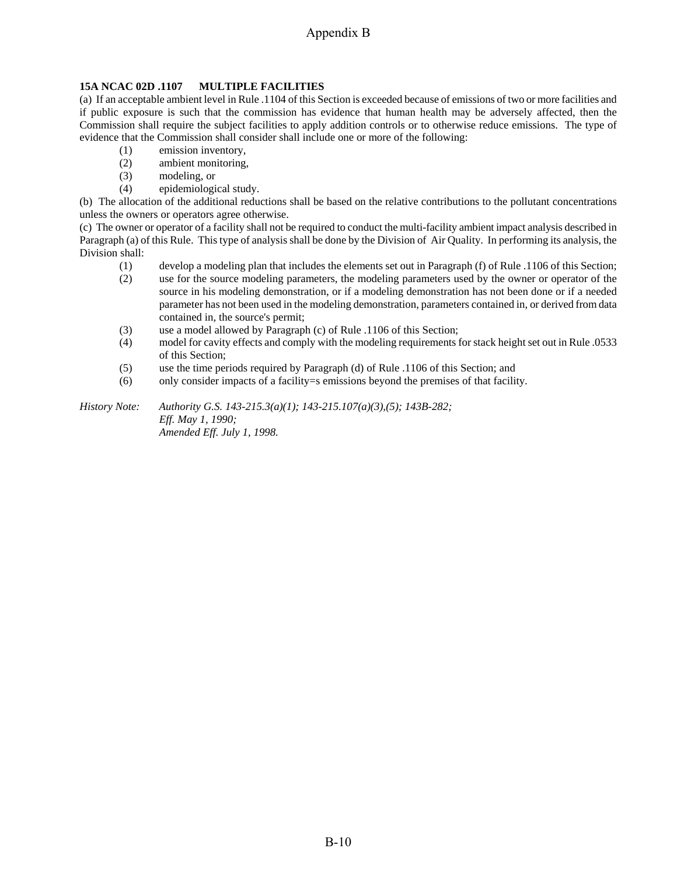## **15A NCAC 02D .1107 MULTIPLE FACILITIES**

(a) If an acceptable ambient level in Rule .1104 of this Section is exceeded because of emissions of two or more facilities and if public exposure is such that the commission has evidence that human health may be adversely affected, then the Commission shall require the subject facilities to apply addition controls or to otherwise reduce emissions. The type of evidence that the Commission shall consider shall include one or more of the following:

- (1) emission inventory,
- (2) ambient monitoring,
- (3) modeling, or
- (4) epidemiological study.

(b) The allocation of the additional reductions shall be based on the relative contributions to the pollutant concentrations unless the owners or operators agree otherwise.

(c) The owner or operator of a facility shall not be required to conduct the multi-facility ambient impact analysis described in Paragraph (a) of this Rule. This type of analysis shall be done by the Division of Air Quality. In performing its analysis, the Division shall:

- (1) develop a modeling plan that includes the elements set out in Paragraph (f) of Rule .1106 of this Section;
- (2) use for the source modeling parameters, the modeling parameters used by the owner or operator of the source in his modeling demonstration, or if a modeling demonstration has not been done or if a needed parameter has not been used in the modeling demonstration, parameters contained in, or derived from data contained in, the source's permit;
- (3) use a model allowed by Paragraph (c) of Rule .1106 of this Section;
- (4) model for cavity effects and comply with the modeling requirements for stack height set out in Rule .0533 of this Section;
- (5) use the time periods required by Paragraph (d) of Rule .1106 of this Section; and
- (6) only consider impacts of a facility=s emissions beyond the premises of that facility.

*History Note: Authority G.S. 143-215.3(a)(1); 143-215.107(a)(3),(5); 143B-282; Eff. May 1, 1990; Amended Eff. July 1, 1998.*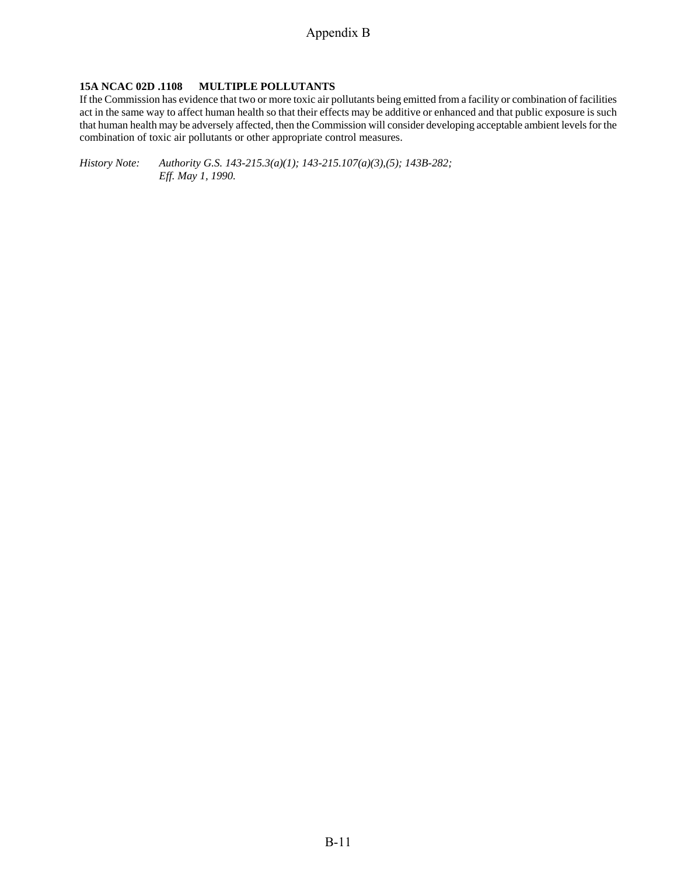### **15A NCAC 02D .1108 MULTIPLE POLLUTANTS**

If the Commission has evidence that two or more toxic air pollutants being emitted from a facility or combination of facilities act in the same way to affect human health so that their effects may be additive or enhanced and that public exposure is such that human health may be adversely affected, then the Commission will consider developing acceptable ambient levels for the combination of toxic air pollutants or other appropriate control measures.

*History Note: Authority G.S. 143-215.3(a)(1); 143-215.107(a)(3),(5); 143B-282; Eff. May 1, 1990.*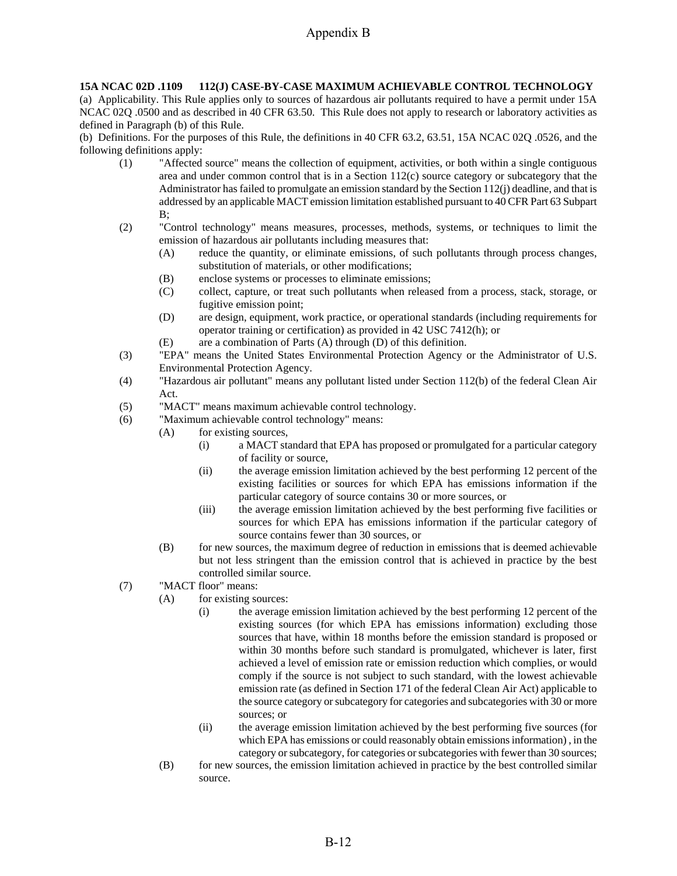#### **15A NCAC 02D .1109 112(J) CASE-BY-CASE MAXIMUM ACHIEVABLE CONTROL TECHNOLOGY**

(a) Applicability. This Rule applies only to sources of hazardous air pollutants required to have a permit under 15A NCAC 02Q .0500 and as described in 40 CFR 63.50. This Rule does not apply to research or laboratory activities as defined in Paragraph (b) of this Rule.

(b) Definitions. For the purposes of this Rule, the definitions in 40 CFR 63.2, 63.51, 15A NCAC 02Q .0526, and the following definitions apply:

- (1) "Affected source" means the collection of equipment, activities, or both within a single contiguous area and under common control that is in a Section 112(c) source category or subcategory that the Administrator has failed to promulgate an emission standard by the Section 112(j) deadline, and that is addressed by an applicable MACT emission limitation established pursuant to 40 CFR Part 63 Subpart  $B$ ;
- (2) "Control technology" means measures, processes, methods, systems, or techniques to limit the emission of hazardous air pollutants including measures that:
	- (A) reduce the quantity, or eliminate emissions, of such pollutants through process changes, substitution of materials, or other modifications;
	- (B) enclose systems or processes to eliminate emissions;
	- (C) collect, capture, or treat such pollutants when released from a process, stack, storage, or fugitive emission point;
	- (D) are design, equipment, work practice, or operational standards (including requirements for operator training or certification) as provided in 42 USC 7412(h); or
	- (E) are a combination of Parts (A) through (D) of this definition.
- (3) "EPA" means the United States Environmental Protection Agency or the Administrator of U.S. Environmental Protection Agency.
- (4) "Hazardous air pollutant" means any pollutant listed under Section 112(b) of the federal Clean Air Act.
- (5) "MACT" means maximum achievable control technology.
- (6) "Maximum achievable control technology" means:
	- (A) for existing sources,
		- (i) a MACT standard that EPA has proposed or promulgated for a particular category of facility or source,
		- (ii) the average emission limitation achieved by the best performing 12 percent of the existing facilities or sources for which EPA has emissions information if the particular category of source contains 30 or more sources, or
		- (iii) the average emission limitation achieved by the best performing five facilities or sources for which EPA has emissions information if the particular category of source contains fewer than 30 sources, or
		- (B) for new sources, the maximum degree of reduction in emissions that is deemed achievable but not less stringent than the emission control that is achieved in practice by the best controlled similar source.
- (7) "MACT floor" means:
	- (A) for existing sources:
		- (i) the average emission limitation achieved by the best performing 12 percent of the existing sources (for which EPA has emissions information) excluding those sources that have, within 18 months before the emission standard is proposed or within 30 months before such standard is promulgated, whichever is later, first achieved a level of emission rate or emission reduction which complies, or would comply if the source is not subject to such standard, with the lowest achievable emission rate (as defined in Section 171 of the federal Clean Air Act) applicable to the source category or subcategory for categories and subcategories with 30 or more sources; or
		- (ii) the average emission limitation achieved by the best performing five sources (for which EPA has emissions or could reasonably obtain emissions information) , in the category or subcategory, for categories or subcategories with fewer than 30 sources;
	- (B) for new sources, the emission limitation achieved in practice by the best controlled similar source.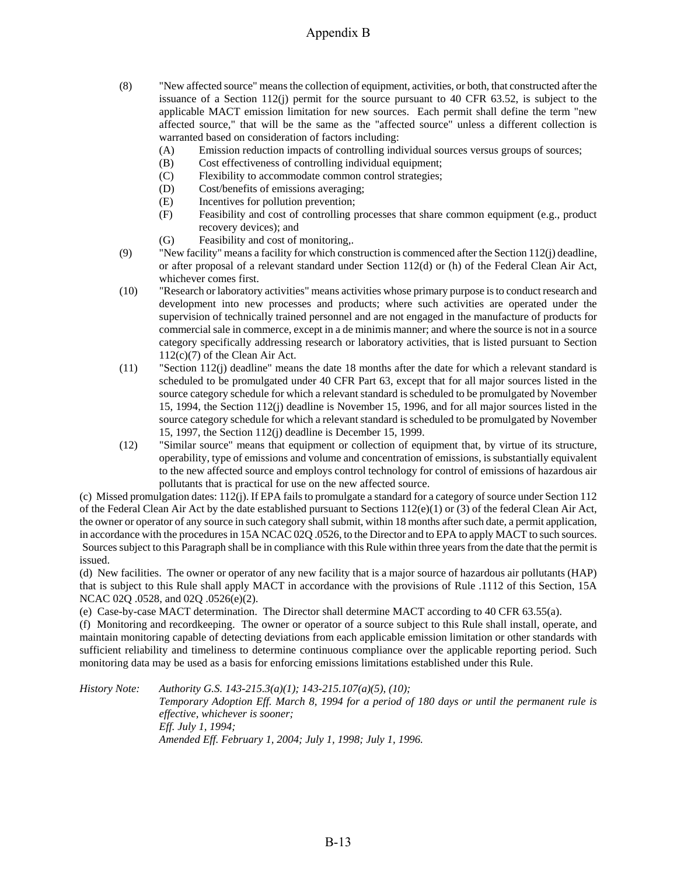- (8) "New affected source" means the collection of equipment, activities, or both, that constructed after the issuance of a Section 112(j) permit for the source pursuant to 40 CFR  $63.52$ , is subject to the applicable MACT emission limitation for new sources. Each permit shall define the term "new affected source," that will be the same as the "affected source" unless a different collection is warranted based on consideration of factors including:
	- (A) Emission reduction impacts of controlling individual sources versus groups of sources;
	- (B) Cost effectiveness of controlling individual equipment;
	- (C) Flexibility to accommodate common control strategies;
	- (D) Cost/benefits of emissions averaging;
	- (E) Incentives for pollution prevention;
	- (F) Feasibility and cost of controlling processes that share common equipment (e.g., product recovery devices); and
	- (G) Feasibility and cost of monitoring,.
- (9) "New facility" means a facility for which construction is commenced after the Section 112(j) deadline, or after proposal of a relevant standard under Section 112(d) or (h) of the Federal Clean Air Act, whichever comes first.
- (10) "Research or laboratory activities" means activities whose primary purpose is to conduct research and development into new processes and products; where such activities are operated under the supervision of technically trained personnel and are not engaged in the manufacture of products for commercial sale in commerce, except in a de minimis manner; and where the source is not in a source category specifically addressing research or laboratory activities, that is listed pursuant to Section 112(c)(7) of the Clean Air Act.
- (11) "Section 112(j) deadline" means the date 18 months after the date for which a relevant standard is scheduled to be promulgated under 40 CFR Part 63, except that for all major sources listed in the source category schedule for which a relevant standard is scheduled to be promulgated by November 15, 1994, the Section 112(j) deadline is November 15, 1996, and for all major sources listed in the source category schedule for which a relevant standard is scheduled to be promulgated by November 15, 1997, the Section 112(j) deadline is December 15, 1999.
- (12) "Similar source" means that equipment or collection of equipment that, by virtue of its structure, operability, type of emissions and volume and concentration of emissions, is substantially equivalent to the new affected source and employs control technology for control of emissions of hazardous air pollutants that is practical for use on the new affected source.

(c) Missed promulgation dates: 112(j). If EPA fails to promulgate a standard for a category of source under Section 112 of the Federal Clean Air Act by the date established pursuant to Sections  $112(e)(1)$  or (3) of the federal Clean Air Act, the owner or operator of any source in such category shall submit, within 18 months after such date, a permit application, in accordance with the procedures in 15A NCAC 02Q .0526, to the Director and to EPA to apply MACT to such sources. Sources subject to this Paragraph shall be in compliance with this Rule within three years from the date that the permit is issued.

(d) New facilities. The owner or operator of any new facility that is a major source of hazardous air pollutants (HAP) that is subject to this Rule shall apply MACT in accordance with the provisions of Rule .1112 of this Section, 15A NCAC 02Q .0528, and 02Q .0526(e)(2).

(e) Case-by-case MACT determination. The Director shall determine MACT according to 40 CFR 63.55(a).

(f) Monitoring and recordkeeping. The owner or operator of a source subject to this Rule shall install, operate, and maintain monitoring capable of detecting deviations from each applicable emission limitation or other standards with sufficient reliability and timeliness to determine continuous compliance over the applicable reporting period. Such monitoring data may be used as a basis for enforcing emissions limitations established under this Rule.

*History Note: Authority G.S. 143-215.3(a)(1); 143-215.107(a)(5), (10); Temporary Adoption Eff. March 8, 1994 for a period of 180 days or until the permanent rule is effective, whichever is sooner; Eff. July 1, 1994; Amended Eff. February 1, 2004; July 1, 1998; July 1, 1996.*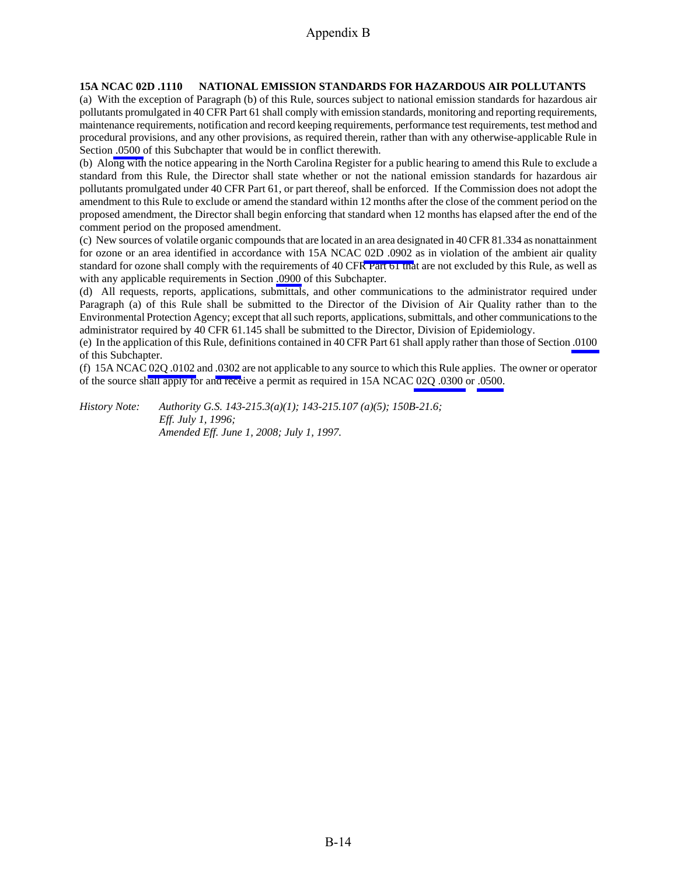#### **15A NCAC 02D .1110 NATIONAL EMISSION STANDARDS FOR HAZARDOUS AIR POLLUTANTS**

(a) With the exception of Paragraph (b) of this Rule, sources subject to national emission standards for hazardous air pollutants promulgated in 40 CFR Part 61 shall comply with emission standards, monitoring and reporting requirements, maintenance requirements, notification and record keeping requirements, performance test requirements, test method and procedural provisions, and any other provisions, as required therein, rather than with any otherwise-applicable Rule in Section [.0500 o](http://staging.daq.state.nc.us/rules/rules/secD0500.pdf)f this Subchapter that would be in conflict therewith.

(b) Along with the notice appearing in the North Carolina Register for a public hearing to amend this Rule to exclude a standard from this Rule, the Director shall state whether or not the national emission standards for hazardous air pollutants promulgated under 40 CFR Part 61, or part thereof, shall be enforced. If the Commission does not adopt the amendment to this Rule to exclude or amend the standard within 12 months after the close of the comment period on the proposed amendment, the Director shall begin enforcing that standard when 12 months has elapsed after the end of the comment period on the proposed amendment.

(c) New sources of volatile organic compounds that are located in an area designated in 40 CFR 81.334 as nonattainment for ozone or an area identified in accordance with 15A NCAC [02D .0902](http://staging.daq.state.nc.us/rules/rules/D0902.pdf) as in violation of the ambient air quality standard for ozone shall comply with the requirements of 40 CFR Part 61 that are not excluded by this Rule, as well as with any applicable requirements in Section [.0900](http://staging.daq.state.nc.us/rules/rules/secD0900.pdf) of this Subchapter.

(d) All requests, reports, applications, submittals, and other communications to the administrator required under Paragraph (a) of this Rule shall be submitted to the Director of the Division of Air Quality rather than to the Environmental Protection Agency; except that all such reports, applications, submittals, and other communications to the administrator required by 40 CFR 61.145 shall be submitted to the Director, Division of Epidemiology.

(e) In the application of this Rule, definitions contained in 40 CFR Part 61 shall apply rather than those of Section [.0100](http://staging.daq.state.nc.us/rules/rules/secD0100.pdf)  of this Subchapter.

(f) 15A NCAC [02Q .0102](http://staging.daq.state.nc.us/rules/rules/Q0102.pdf) and [.0302](http://staging.daq.state.nc.us/rules/rules/Q0302.pdf) are not applicable to any source to which this Rule applies. The owner or operator of the source shall apply for and receive a permit as required in 15A NCA[C 02Q .0300](http://staging.daq.state.nc.us/rules/rules/secQ0300.pdf) or [.0500.](http://staging.daq.state.nc.us/rules/rules/secQ0500.pdf)

*History Note: Authority G.S. 143-215.3(a)(1); 143-215.107 (a)(5); 150B-21.6; Eff. July 1, 1996; Amended Eff. June 1, 2008; July 1, 1997.*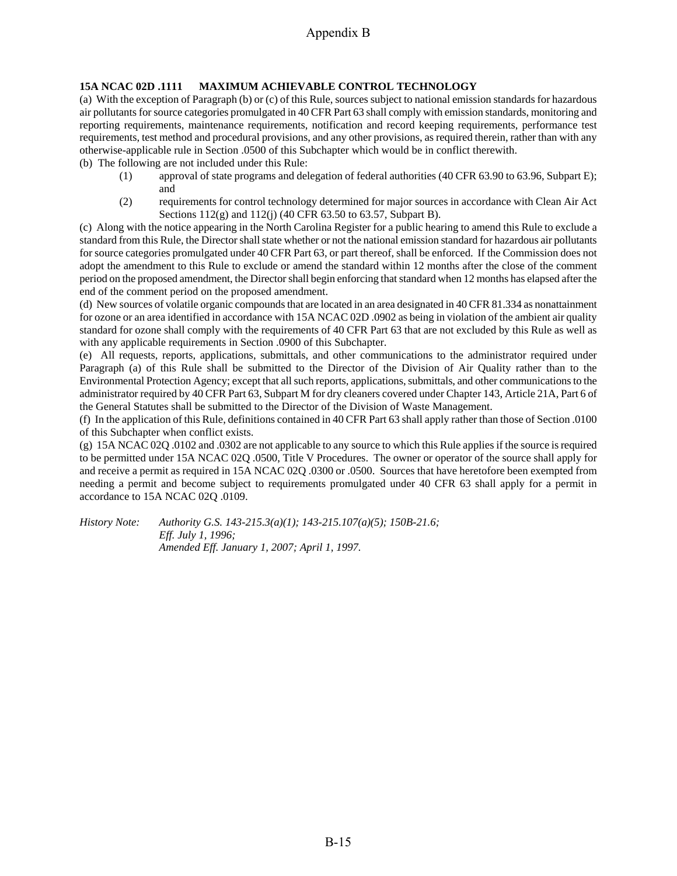## **15A NCAC 02D .1111 MAXIMUM ACHIEVABLE CONTROL TECHNOLOGY**

(a) With the exception of Paragraph (b) or (c) of this Rule, sources subject to national emission standards for hazardous air pollutants for source categories promulgated in 40 CFR Part 63 shall comply with emission standards, monitoring and reporting requirements, maintenance requirements, notification and record keeping requirements, performance test requirements, test method and procedural provisions, and any other provisions, as required therein, rather than with any otherwise-applicable rule in Section .0500 of this Subchapter which would be in conflict therewith.

- (b) The following are not included under this Rule:
	- (1) approval of state programs and delegation of federal authorities (40 CFR 63.90 to 63.96, Subpart E); and
	- (2) requirements for control technology determined for major sources in accordance with Clean Air Act Sections 112(g) and 112(j) (40 CFR 63.50 to 63.57, Subpart B).

(c) Along with the notice appearing in the North Carolina Register for a public hearing to amend this Rule to exclude a standard from this Rule, the Director shall state whether or not the national emission standard for hazardous air pollutants for source categories promulgated under 40 CFR Part 63, or part thereof, shall be enforced. If the Commission does not adopt the amendment to this Rule to exclude or amend the standard within 12 months after the close of the comment period on the proposed amendment, the Director shall begin enforcing that standard when 12 months has elapsed after the end of the comment period on the proposed amendment.

(d) New sources of volatile organic compounds that are located in an area designated in 40 CFR 81.334 as nonattainment for ozone or an area identified in accordance with 15A NCAC 02D .0902 as being in violation of the ambient air quality standard for ozone shall comply with the requirements of 40 CFR Part 63 that are not excluded by this Rule as well as with any applicable requirements in Section .0900 of this Subchapter.

(e) All requests, reports, applications, submittals, and other communications to the administrator required under Paragraph (a) of this Rule shall be submitted to the Director of the Division of Air Quality rather than to the Environmental Protection Agency; except that all such reports, applications, submittals, and other communications to the administrator required by 40 CFR Part 63, Subpart M for dry cleaners covered under Chapter 143, Article 21A, Part 6 of the General Statutes shall be submitted to the Director of the Division of Waste Management.

(f) In the application of this Rule, definitions contained in 40 CFR Part 63 shall apply rather than those of Section .0100 of this Subchapter when conflict exists.

(g) 15A NCAC 02Q .0102 and .0302 are not applicable to any source to which this Rule applies if the source is required to be permitted under 15A NCAC 02Q .0500, Title V Procedures. The owner or operator of the source shall apply for and receive a permit as required in 15A NCAC 02Q .0300 or .0500. Sources that have heretofore been exempted from needing a permit and become subject to requirements promulgated under 40 CFR 63 shall apply for a permit in accordance to 15A NCAC 02Q .0109.

*History Note: Authority G.S. 143-215.3(a)(1); 143-215.107(a)(5); 150B-21.6; Eff. July 1, 1996; Amended Eff. January 1, 2007; April 1, 1997.*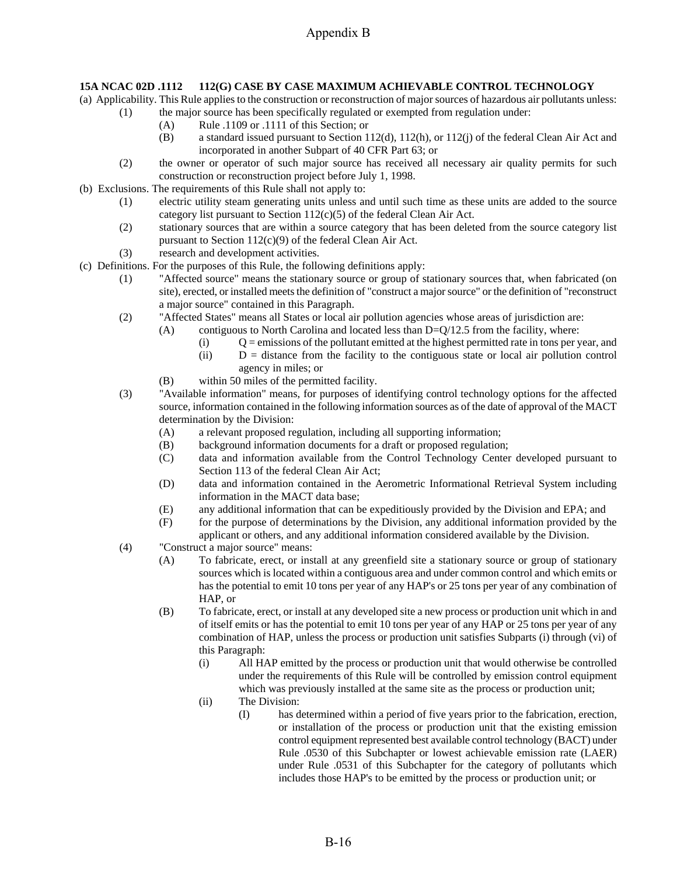## **15A NCAC 02D .1112 112(G) CASE BY CASE MAXIMUM ACHIEVABLE CONTROL TECHNOLOGY**

(a) Applicability. This Rule applies to the construction or reconstruction of major sources of hazardous air pollutants unless:

- (1) the major source has been specifically regulated or exempted from regulation under:
	- (A) Rule .1109 or .1111 of this Section; or
	- (B) a standard issued pursuant to Section 112(d), 112(h), or 112(j) of the federal Clean Air Act and incorporated in another Subpart of 40 CFR Part 63; or
- (2) the owner or operator of such major source has received all necessary air quality permits for such construction or reconstruction project before July 1, 1998.
- (b) Exclusions. The requirements of this Rule shall not apply to:
	- (1) electric utility steam generating units unless and until such time as these units are added to the source category list pursuant to Section  $112(c)(5)$  of the federal Clean Air Act.
	- (2) stationary sources that are within a source category that has been deleted from the source category list pursuant to Section 112(c)(9) of the federal Clean Air Act.
	- (3) research and development activities.
- (c) Definitions. For the purposes of this Rule, the following definitions apply:
	- (1) "Affected source" means the stationary source or group of stationary sources that, when fabricated (on site), erected, or installed meets the definition of "construct a major source" or the definition of "reconstruct a major source" contained in this Paragraph.
	- (2) "Affected States" means all States or local air pollution agencies whose areas of jurisdiction are:
		- (A) contiguous to North Carolina and located less than  $D=Q/12.5$  from the facility, where:
			- $(i)$   $Q =$  emissions of the pollutant emitted at the highest permitted rate in tons per year, and
			- (ii) D = distance from the facility to the contiguous state or local air pollution control agency in miles; or
		- (B) within 50 miles of the permitted facility.
	- (3) "Available information" means, for purposes of identifying control technology options for the affected source, information contained in the following information sources as of the date of approval of the MACT determination by the Division:
		- (A) a relevant proposed regulation, including all supporting information;
		- (B) background information documents for a draft or proposed regulation;
		- (C) data and information available from the Control Technology Center developed pursuant to Section 113 of the federal Clean Air Act;
		- (D) data and information contained in the Aerometric Informational Retrieval System including information in the MACT data base;
		- (E) any additional information that can be expeditiously provided by the Division and EPA; and
		- (F) for the purpose of determinations by the Division, any additional information provided by the applicant or others, and any additional information considered available by the Division.
	- (4) "Construct a major source" means:
		- (A) To fabricate, erect, or install at any greenfield site a stationary source or group of stationary sources which is located within a contiguous area and under common control and which emits or has the potential to emit 10 tons per year of any HAP's or 25 tons per year of any combination of HAP, or
		- (B) To fabricate, erect, or install at any developed site a new process or production unit which in and of itself emits or has the potential to emit 10 tons per year of any HAP or 25 tons per year of any combination of HAP, unless the process or production unit satisfies Subparts (i) through (vi) of this Paragraph:
			- (i) All HAP emitted by the process or production unit that would otherwise be controlled under the requirements of this Rule will be controlled by emission control equipment which was previously installed at the same site as the process or production unit;
			- (ii) The Division:
				- (I) has determined within a period of five years prior to the fabrication, erection, or installation of the process or production unit that the existing emission control equipment represented best available control technology (BACT) under Rule .0530 of this Subchapter or lowest achievable emission rate (LAER) under Rule .0531 of this Subchapter for the category of pollutants which includes those HAP's to be emitted by the process or production unit; or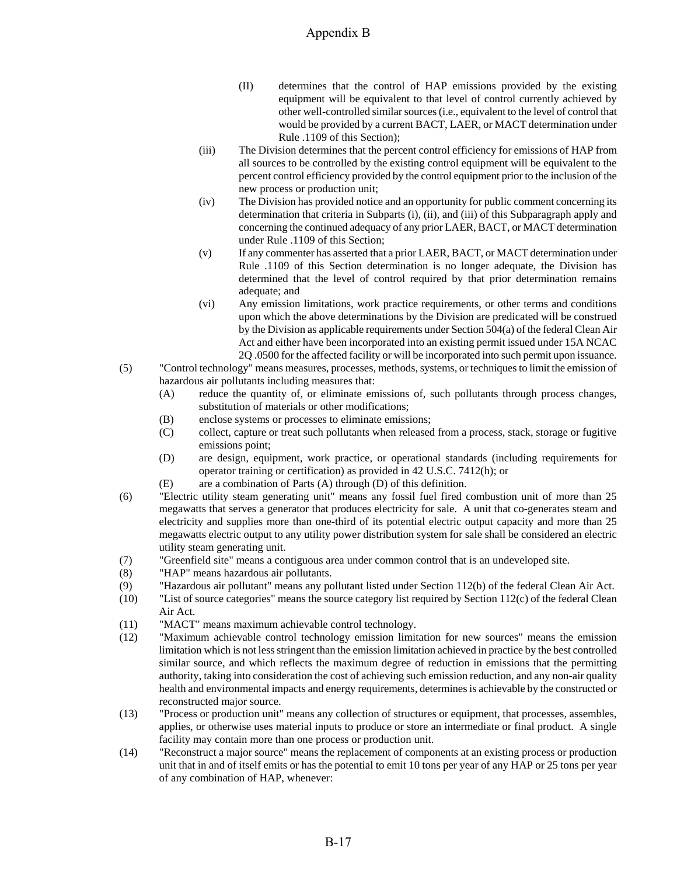- (II) determines that the control of HAP emissions provided by the existing equipment will be equivalent to that level of control currently achieved by other well-controlled similar sources (i.e., equivalent to the level of control that would be provided by a current BACT, LAER, or MACT determination under Rule .1109 of this Section);
- (iii) The Division determines that the percent control efficiency for emissions of HAP from all sources to be controlled by the existing control equipment will be equivalent to the percent control efficiency provided by the control equipment prior to the inclusion of the new process or production unit;
- (iv) The Division has provided notice and an opportunity for public comment concerning its determination that criteria in Subparts (i), (ii), and (iii) of this Subparagraph apply and concerning the continued adequacy of any prior LAER, BACT, or MACT determination under Rule .1109 of this Section;
- (v) If any commenter has asserted that a prior LAER, BACT, or MACT determination under Rule .1109 of this Section determination is no longer adequate, the Division has determined that the level of control required by that prior determination remains adequate; and
- (vi) Any emission limitations, work practice requirements, or other terms and conditions upon which the above determinations by the Division are predicated will be construed by the Division as applicable requirements under Section 504(a) of the federal Clean Air Act and either have been incorporated into an existing permit issued under 15A NCAC 2Q .0500 for the affected facility or will be incorporated into such permit upon issuance.
- (5) "Control technology" means measures, processes, methods, systems, or techniques to limit the emission of hazardous air pollutants including measures that:
	- (A) reduce the quantity of, or eliminate emissions of, such pollutants through process changes, substitution of materials or other modifications;
	- (B) enclose systems or processes to eliminate emissions;
	- (C) collect, capture or treat such pollutants when released from a process, stack, storage or fugitive emissions point;
	- (D) are design, equipment, work practice, or operational standards (including requirements for operator training or certification) as provided in 42 U.S.C. 7412(h); or
	- (E) are a combination of Parts (A) through (D) of this definition.
- (6) "Electric utility steam generating unit" means any fossil fuel fired combustion unit of more than 25 megawatts that serves a generator that produces electricity for sale. A unit that co-generates steam and electricity and supplies more than one-third of its potential electric output capacity and more than 25 megawatts electric output to any utility power distribution system for sale shall be considered an electric utility steam generating unit.
- (7) "Greenfield site" means a contiguous area under common control that is an undeveloped site.
- (8) "HAP" means hazardous air pollutants.
- (9) "Hazardous air pollutant" means any pollutant listed under Section 112(b) of the federal Clean Air Act.
- (10) "List of source categories" means the source category list required by Section 112(c) of the federal Clean Air Act.
- (11) "MACT" means maximum achievable control technology.
- (12) "Maximum achievable control technology emission limitation for new sources" means the emission limitation which is not less stringent than the emission limitation achieved in practice by the best controlled similar source, and which reflects the maximum degree of reduction in emissions that the permitting authority, taking into consideration the cost of achieving such emission reduction, and any non-air quality health and environmental impacts and energy requirements, determines is achievable by the constructed or reconstructed major source.
- (13) "Process or production unit" means any collection of structures or equipment, that processes, assembles, applies, or otherwise uses material inputs to produce or store an intermediate or final product. A single facility may contain more than one process or production unit.
- (14) "Reconstruct a major source" means the replacement of components at an existing process or production unit that in and of itself emits or has the potential to emit 10 tons per year of any HAP or 25 tons per year of any combination of HAP, whenever: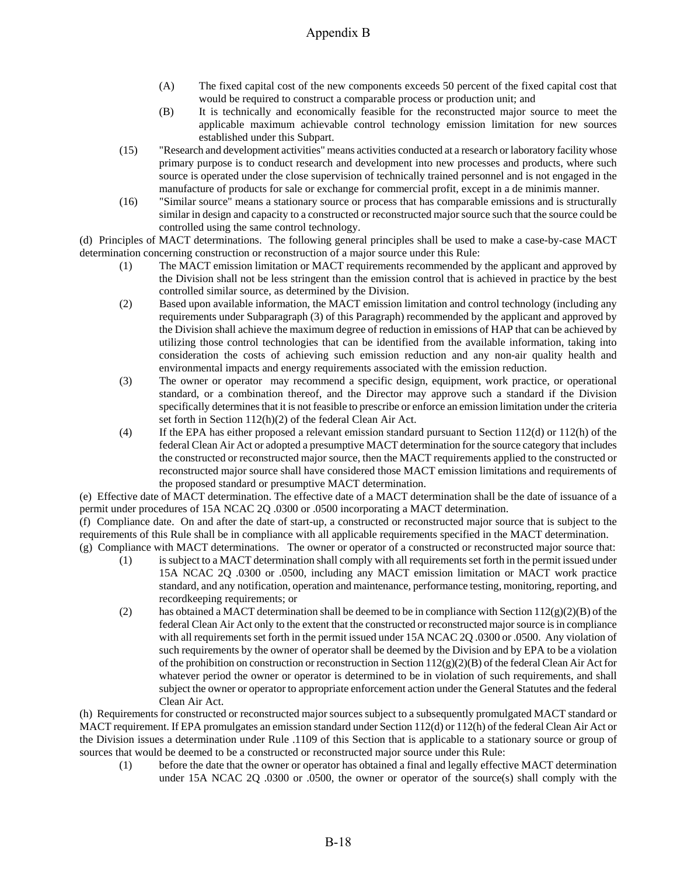- (A) The fixed capital cost of the new components exceeds 50 percent of the fixed capital cost that would be required to construct a comparable process or production unit; and
- (B) It is technically and economically feasible for the reconstructed major source to meet the applicable maximum achievable control technology emission limitation for new sources established under this Subpart.
- (15) "Research and development activities" means activities conducted at a research or laboratory facility whose primary purpose is to conduct research and development into new processes and products, where such source is operated under the close supervision of technically trained personnel and is not engaged in the manufacture of products for sale or exchange for commercial profit, except in a de minimis manner.
- (16) "Similar source" means a stationary source or process that has comparable emissions and is structurally similar in design and capacity to a constructed or reconstructed major source such that the source could be controlled using the same control technology.

(d) Principles of MACT determinations. The following general principles shall be used to make a case-by-case MACT determination concerning construction or reconstruction of a major source under this Rule:

- (1) The MACT emission limitation or MACT requirements recommended by the applicant and approved by the Division shall not be less stringent than the emission control that is achieved in practice by the best controlled similar source, as determined by the Division.
- (2) Based upon available information, the MACT emission limitation and control technology (including any requirements under Subparagraph (3) of this Paragraph) recommended by the applicant and approved by the Division shall achieve the maximum degree of reduction in emissions of HAP that can be achieved by utilizing those control technologies that can be identified from the available information, taking into consideration the costs of achieving such emission reduction and any non-air quality health and environmental impacts and energy requirements associated with the emission reduction.
- (3) The owner or operator may recommend a specific design, equipment, work practice, or operational standard, or a combination thereof, and the Director may approve such a standard if the Division specifically determines that it is not feasible to prescribe or enforce an emission limitation under the criteria set forth in Section 112(h)(2) of the federal Clean Air Act.
- (4) If the EPA has either proposed a relevant emission standard pursuant to Section 112(d) or 112(h) of the federal Clean Air Act or adopted a presumptive MACT determination for the source category that includes the constructed or reconstructed major source, then the MACT requirements applied to the constructed or reconstructed major source shall have considered those MACT emission limitations and requirements of the proposed standard or presumptive MACT determination.

(e) Effective date of MACT determination. The effective date of a MACT determination shall be the date of issuance of a permit under procedures of 15A NCAC 2Q .0300 or .0500 incorporating a MACT determination.

(f) Compliance date. On and after the date of start-up, a constructed or reconstructed major source that is subject to the requirements of this Rule shall be in compliance with all applicable requirements specified in the MACT determination.

- (g) Compliance with MACT determinations. The owner or operator of a constructed or reconstructed major source that: (1) is subject to a MACT determination shall comply with all requirements set forth in the permit issued under 15A NCAC 2Q .0300 or .0500, including any MACT emission limitation or MACT work practice standard, and any notification, operation and maintenance, performance testing, monitoring, reporting, and recordkeeping requirements; or
	- (2) has obtained a MACT determination shall be deemed to be in compliance with Section  $112(g)(2)(B)$  of the federal Clean Air Act only to the extent that the constructed or reconstructed major source is in compliance with all requirements set forth in the permit issued under 15A NCAC 2Q .0300 or .0500. Any violation of such requirements by the owner of operator shall be deemed by the Division and by EPA to be a violation of the prohibition on construction or reconstruction in Section 112(g)(2)(B) of the federal Clean Air Act for whatever period the owner or operator is determined to be in violation of such requirements, and shall subject the owner or operator to appropriate enforcement action under the General Statutes and the federal Clean Air Act.

(h) Requirements for constructed or reconstructed major sources subject to a subsequently promulgated MACT standard or MACT requirement. If EPA promulgates an emission standard under Section 112(d) or 112(h) of the federal Clean Air Act or the Division issues a determination under Rule .1109 of this Section that is applicable to a stationary source or group of sources that would be deemed to be a constructed or reconstructed major source under this Rule:

(1) before the date that the owner or operator has obtained a final and legally effective MACT determination under 15A NCAC 2Q .0300 or .0500, the owner or operator of the source(s) shall comply with the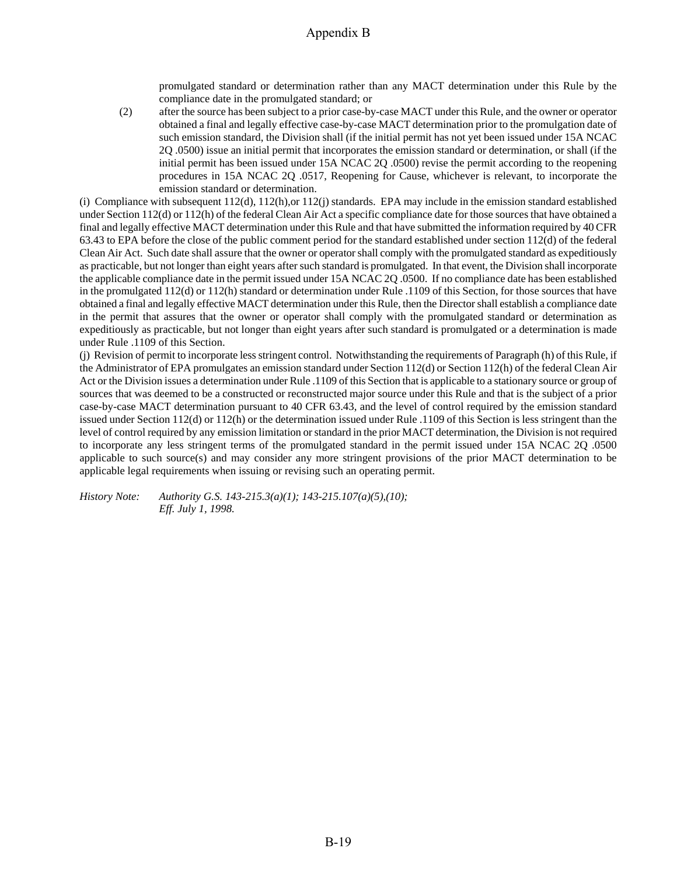promulgated standard or determination rather than any MACT determination under this Rule by the compliance date in the promulgated standard; or

(2) after the source has been subject to a prior case-by-case MACT under this Rule, and the owner or operator obtained a final and legally effective case-by-case MACT determination prior to the promulgation date of such emission standard, the Division shall (if the initial permit has not yet been issued under 15A NCAC 2Q .0500) issue an initial permit that incorporates the emission standard or determination, or shall (if the initial permit has been issued under 15A NCAC 2Q .0500) revise the permit according to the reopening procedures in 15A NCAC 2Q .0517, Reopening for Cause, whichever is relevant, to incorporate the emission standard or determination.

(i) Compliance with subsequent 112(d), 112(h),or 112(j) standards. EPA may include in the emission standard established under Section 112(d) or 112(h) of the federal Clean Air Act a specific compliance date for those sources that have obtained a final and legally effective MACT determination under this Rule and that have submitted the information required by 40 CFR 63.43 to EPA before the close of the public comment period for the standard established under section 112(d) of the federal Clean Air Act. Such date shall assure that the owner or operator shall comply with the promulgated standard as expeditiously as practicable, but not longer than eight years after such standard is promulgated. In that event, the Division shall incorporate the applicable compliance date in the permit issued under 15A NCAC 2Q .0500. If no compliance date has been established in the promulgated 112(d) or 112(h) standard or determination under Rule .1109 of this Section, for those sources that have obtained a final and legally effective MACT determination under this Rule, then the Director shall establish a compliance date in the permit that assures that the owner or operator shall comply with the promulgated standard or determination as expeditiously as practicable, but not longer than eight years after such standard is promulgated or a determination is made under Rule .1109 of this Section.

(j) Revision of permit to incorporate less stringent control. Notwithstanding the requirements of Paragraph (h) of this Rule, if the Administrator of EPA promulgates an emission standard under Section 112(d) or Section 112(h) of the federal Clean Air Act or the Division issues a determination under Rule .1109 of this Section that is applicable to a stationary source or group of sources that was deemed to be a constructed or reconstructed major source under this Rule and that is the subject of a prior case-by-case MACT determination pursuant to 40 CFR 63.43, and the level of control required by the emission standard issued under Section 112(d) or 112(h) or the determination issued under Rule .1109 of this Section is less stringent than the level of control required by any emission limitation or standard in the prior MACT determination, the Division is not required to incorporate any less stringent terms of the promulgated standard in the permit issued under 15A NCAC 2Q .0500 applicable to such source(s) and may consider any more stringent provisions of the prior MACT determination to be applicable legal requirements when issuing or revising such an operating permit.

*History Note: Authority G.S. 143-215.3(a)(1); 143-215.107(a)(5),(10); Eff. July 1, 1998.*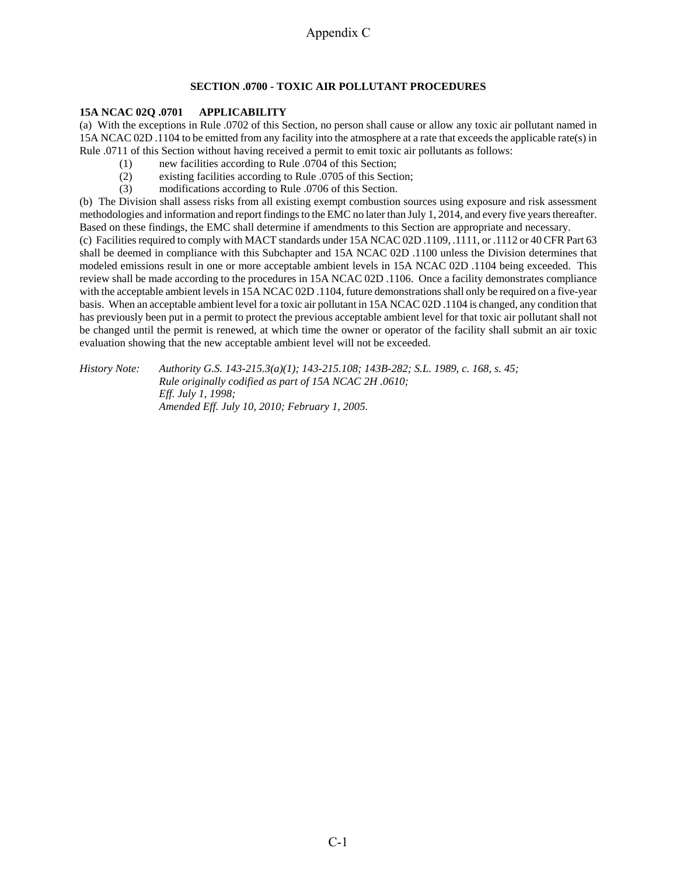### **SECTION .0700 - TOXIC AIR POLLUTANT PROCEDURES**

## **15A NCAC 02Q .0701 APPLICABILITY**

(a) With the exceptions in Rule .0702 of this Section, no person shall cause or allow any toxic air pollutant named in 15A NCAC 02D .1104 to be emitted from any facility into the atmosphere at a rate that exceeds the applicable rate(s) in Rule .0711 of this Section without having received a permit to emit toxic air pollutants as follows:

- (1) new facilities according to Rule .0704 of this Section;
- (2) existing facilities according to Rule .0705 of this Section;
- (3) modifications according to Rule .0706 of this Section.

(b) The Division shall assess risks from all existing exempt combustion sources using exposure and risk assessment methodologies and information and report findings to the EMC no later than July 1, 2014, and every five years thereafter. Based on these findings, the EMC shall determine if amendments to this Section are appropriate and necessary.

(c) Facilities required to comply with MACT standards under 15A NCAC 02D .1109, .1111, or .1112 or 40 CFR Part 63 shall be deemed in compliance with this Subchapter and 15A NCAC 02D .1100 unless the Division determines that modeled emissions result in one or more acceptable ambient levels in 15A NCAC 02D .1104 being exceeded. This review shall be made according to the procedures in 15A NCAC 02D .1106. Once a facility demonstrates compliance with the acceptable ambient levels in 15A NCAC 02D .1104, future demonstrations shall only be required on a five-year basis. When an acceptable ambient level for a toxic air pollutant in 15A NCAC 02D .1104 is changed, any condition that has previously been put in a permit to protect the previous acceptable ambient level for that toxic air pollutant shall not be changed until the permit is renewed, at which time the owner or operator of the facility shall submit an air toxic evaluation showing that the new acceptable ambient level will not be exceeded.

*History Note: Authority G.S. 143-215.3(a)(1); 143-215.108; 143B-282; S.L. 1989, c. 168, s. 45; Rule originally codified as part of 15A NCAC 2H .0610; Eff. July 1, 1998; Amended Eff. July 10, 2010; February 1, 2005.*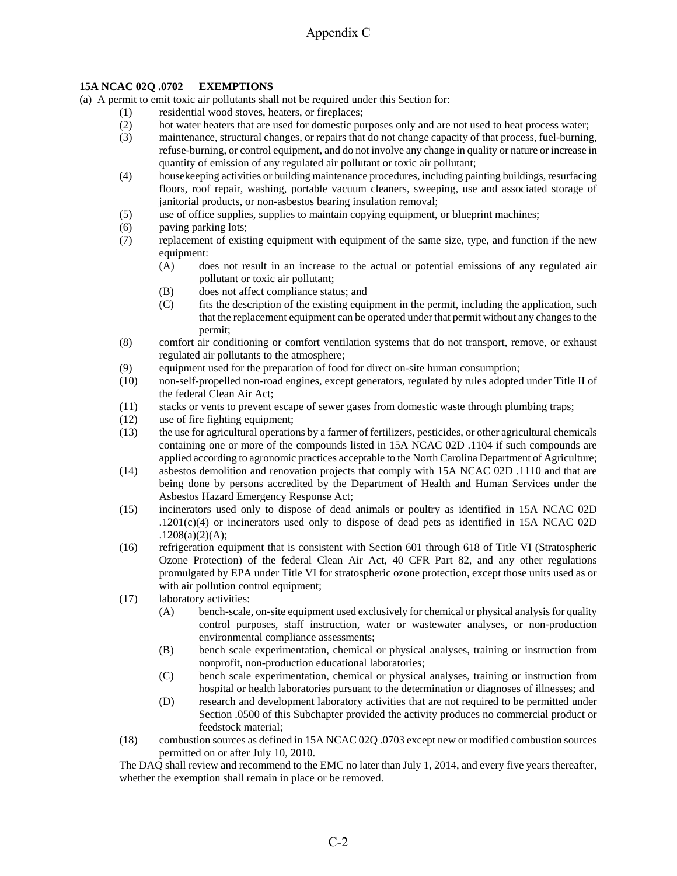## **15A NCAC 02Q .0702 EXEMPTIONS**

(a) A permit to emit toxic air pollutants shall not be required under this Section for:

- (1) residential wood stoves, heaters, or fireplaces;
- (2) hot water heaters that are used for domestic purposes only and are not used to heat process water;
- (3) maintenance, structural changes, or repairs that do not change capacity of that process, fuel-burning, refuse-burning, or control equipment, and do not involve any change in quality or nature or increase in quantity of emission of any regulated air pollutant or toxic air pollutant;
- (4) housekeeping activities or building maintenance procedures, including painting buildings, resurfacing floors, roof repair, washing, portable vacuum cleaners, sweeping, use and associated storage of janitorial products, or non-asbestos bearing insulation removal;
- (5) use of office supplies, supplies to maintain copying equipment, or blueprint machines;
- (6) paving parking lots;
- (7) replacement of existing equipment with equipment of the same size, type, and function if the new equipment:
	- (A) does not result in an increase to the actual or potential emissions of any regulated air pollutant or toxic air pollutant;
	- (B) does not affect compliance status; and
	- (C) fits the description of the existing equipment in the permit, including the application, such that the replacement equipment can be operated under that permit without any changes to the permit;
- (8) comfort air conditioning or comfort ventilation systems that do not transport, remove, or exhaust regulated air pollutants to the atmosphere;
- (9) equipment used for the preparation of food for direct on-site human consumption;
- (10) non-self-propelled non-road engines, except generators, regulated by rules adopted under Title II of the federal Clean Air Act;
- (11) stacks or vents to prevent escape of sewer gases from domestic waste through plumbing traps;
- (12) use of fire fighting equipment;
- (13) the use for agricultural operations by a farmer of fertilizers, pesticides, or other agricultural chemicals containing one or more of the compounds listed in 15A NCAC 02D .1104 if such compounds are applied according to agronomic practices acceptable to the North Carolina Department of Agriculture;
- (14) asbestos demolition and renovation projects that comply with 15A NCAC 02D .1110 and that are being done by persons accredited by the Department of Health and Human Services under the Asbestos Hazard Emergency Response Act;
- (15) incinerators used only to dispose of dead animals or poultry as identified in 15A NCAC 02D .1201(c)(4) or incinerators used only to dispose of dead pets as identified in 15A NCAC 02D  $.1208(a)(2)(A);$
- (16) refrigeration equipment that is consistent with Section 601 through 618 of Title VI (Stratospheric Ozone Protection) of the federal Clean Air Act, 40 CFR Part 82, and any other regulations promulgated by EPA under Title VI for stratospheric ozone protection, except those units used as or with air pollution control equipment;
- (17) laboratory activities:
	- (A) bench-scale, on-site equipment used exclusively for chemical or physical analysis for quality control purposes, staff instruction, water or wastewater analyses, or non-production environmental compliance assessments;
	- (B) bench scale experimentation, chemical or physical analyses, training or instruction from nonprofit, non-production educational laboratories;
	- (C) bench scale experimentation, chemical or physical analyses, training or instruction from hospital or health laboratories pursuant to the determination or diagnoses of illnesses; and
	- (D) research and development laboratory activities that are not required to be permitted under Section .0500 of this Subchapter provided the activity produces no commercial product or feedstock material;
- (18) combustion sources as defined in 15A NCAC 02Q .0703 except new or modified combustion sources permitted on or after July 10, 2010.

The DAQ shall review and recommend to the EMC no later than July 1, 2014, and every five years thereafter, whether the exemption shall remain in place or be removed.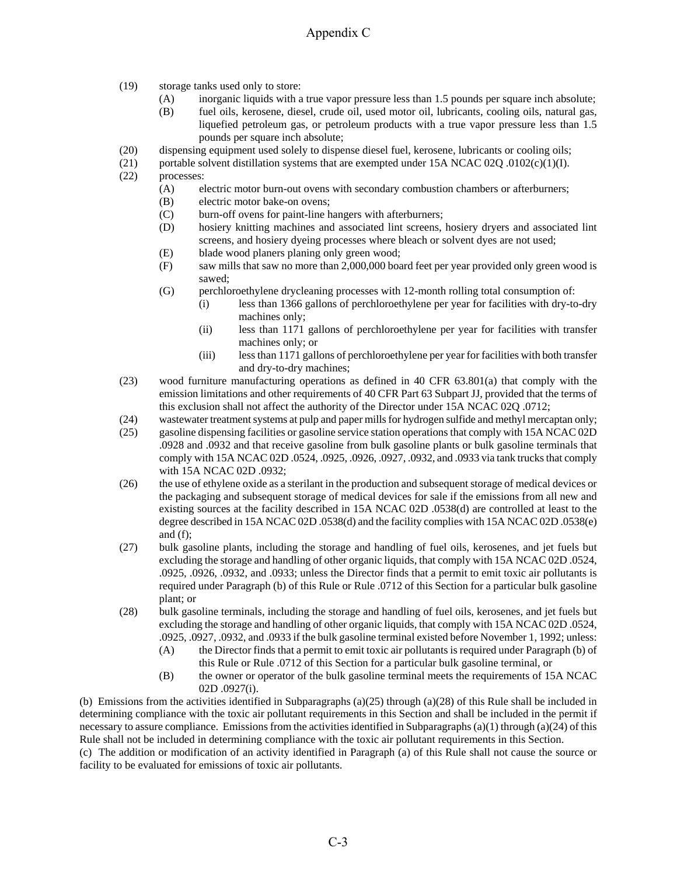- (19) storage tanks used only to store:
	- (A) inorganic liquids with a true vapor pressure less than 1.5 pounds per square inch absolute;
	- (B) fuel oils, kerosene, diesel, crude oil, used motor oil, lubricants, cooling oils, natural gas, liquefied petroleum gas, or petroleum products with a true vapor pressure less than 1.5 pounds per square inch absolute;
- (20) dispensing equipment used solely to dispense diesel fuel, kerosene, lubricants or cooling oils;
- (21) portable solvent distillation systems that are exempted under 15A NCAC 02Q .0102(c)(1)(I).
- (22) processes:
	- (A) electric motor burn-out ovens with secondary combustion chambers or afterburners;
	- (B) electric motor bake-on ovens;
	- (C) burn-off ovens for paint-line hangers with afterburners;
	- (D) hosiery knitting machines and associated lint screens, hosiery dryers and associated lint screens, and hosiery dyeing processes where bleach or solvent dyes are not used;
	- (E) blade wood planers planing only green wood;
	- (F) saw mills that saw no more than 2,000,000 board feet per year provided only green wood is sawed;
	- (G) perchloroethylene drycleaning processes with 12-month rolling total consumption of:
		- (i) less than 1366 gallons of perchloroethylene per year for facilities with dry-to-dry machines only;
		- (ii) less than 1171 gallons of perchloroethylene per year for facilities with transfer machines only; or
		- (iii) less than 1171 gallons of perchloroethylene per year for facilities with both transfer and dry-to-dry machines;
- (23) wood furniture manufacturing operations as defined in 40 CFR 63.801(a) that comply with the emission limitations and other requirements of 40 CFR Part 63 Subpart JJ, provided that the terms of this exclusion shall not affect the authority of the Director under 15A NCAC 02Q .0712;
- (24) wastewater treatment systems at pulp and paper mills for hydrogen sulfide and methyl mercaptan only;
- (25) gasoline dispensing facilities or gasoline service station operations that comply with 15A NCAC 02D .0928 and .0932 and that receive gasoline from bulk gasoline plants or bulk gasoline terminals that comply with 15A NCAC 02D .0524, .0925, .0926, .0927, .0932, and .0933 via tank trucks that comply with 15A NCAC 02D .0932;
- (26) the use of ethylene oxide as a sterilant in the production and subsequent storage of medical devices or the packaging and subsequent storage of medical devices for sale if the emissions from all new and existing sources at the facility described in 15A NCAC 02D .0538(d) are controlled at least to the degree described in 15A NCAC 02D .0538(d) and the facility complies with 15A NCAC 02D .0538(e) and (f);
- (27) bulk gasoline plants, including the storage and handling of fuel oils, kerosenes, and jet fuels but excluding the storage and handling of other organic liquids, that comply with 15A NCAC 02D .0524, .0925, .0926, .0932, and .0933; unless the Director finds that a permit to emit toxic air pollutants is required under Paragraph (b) of this Rule or Rule .0712 of this Section for a particular bulk gasoline plant; or
- (28) bulk gasoline terminals, including the storage and handling of fuel oils, kerosenes, and jet fuels but excluding the storage and handling of other organic liquids, that comply with 15A NCAC 02D .0524, .0925, .0927, .0932, and .0933 if the bulk gasoline terminal existed before November 1, 1992; unless:
	- (A) the Director finds that a permit to emit toxic air pollutants is required under Paragraph (b) of this Rule or Rule .0712 of this Section for a particular bulk gasoline terminal, or
	- (B) the owner or operator of the bulk gasoline terminal meets the requirements of 15A NCAC 02D .0927(i).

(b) Emissions from the activities identified in Subparagraphs (a)(25) through (a)(28) of this Rule shall be included in determining compliance with the toxic air pollutant requirements in this Section and shall be included in the permit if necessary to assure compliance. Emissions from the activities identified in Subparagraphs (a)(1) through (a)(24) of this Rule shall not be included in determining compliance with the toxic air pollutant requirements in this Section.

(c) The addition or modification of an activity identified in Paragraph (a) of this Rule shall not cause the source or facility to be evaluated for emissions of toxic air pollutants.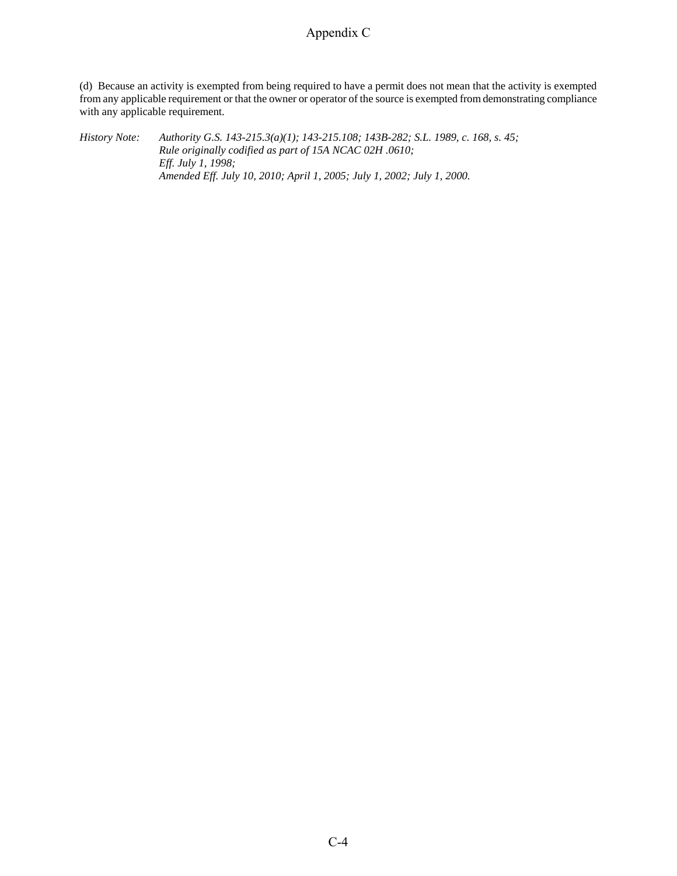(d) Because an activity is exempted from being required to have a permit does not mean that the activity is exempted from any applicable requirement or that the owner or operator of the source is exempted from demonstrating compliance with any applicable requirement.

*History Note: Authority G.S. 143-215.3(a)(1); 143-215.108; 143B-282; S.L. 1989, c. 168, s. 45; Rule originally codified as part of 15A NCAC 02H .0610; Eff. July 1, 1998; Amended Eff. July 10, 2010; April 1, 2005; July 1, 2002; July 1, 2000.*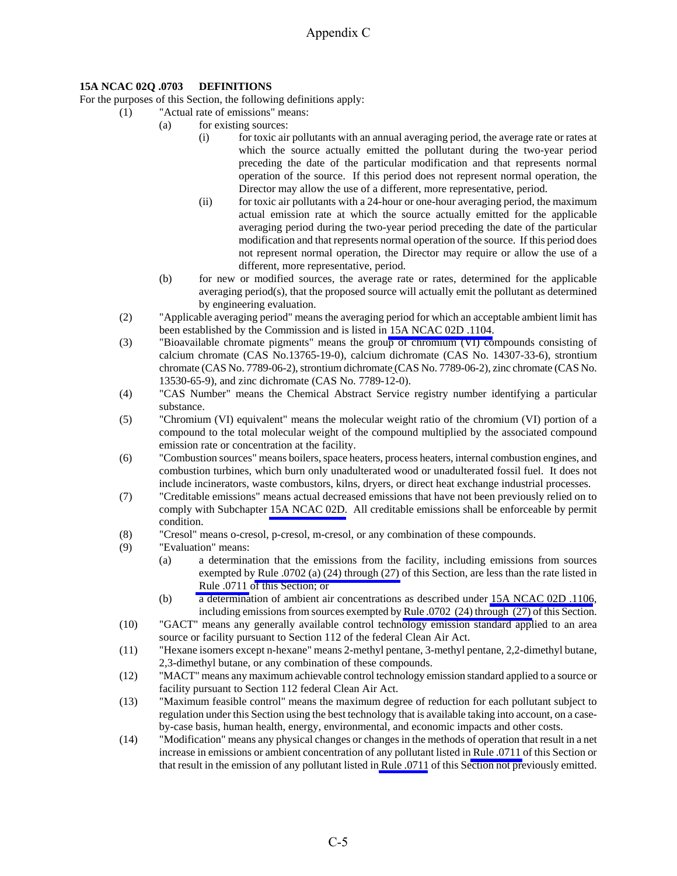## **15A NCAC 02Q .0703 DEFINITIONS**

For the purposes of this Section, the following definitions apply:

- (1) "Actual rate of emissions" means:
	- (a) for existing sources:
		- (i) for toxic air pollutants with an annual averaging period, the average rate or rates at which the source actually emitted the pollutant during the two-year period preceding the date of the particular modification and that represents normal operation of the source. If this period does not represent normal operation, the Director may allow the use of a different, more representative, period.
		- (ii) for toxic air pollutants with a 24-hour or one-hour averaging period, the maximum actual emission rate at which the source actually emitted for the applicable averaging period during the two-year period preceding the date of the particular modification and that represents normal operation of the source. If this period does not represent normal operation, the Director may require or allow the use of a different, more representative, period.
	- (b) for new or modified sources, the average rate or rates, determined for the applicable averaging period(s), that the proposed source will actually emit the pollutant as determined by engineering evaluation.
	- (2) "Applicable averaging period" means the averaging period for which an acceptable ambient limit has been established by the Commission and is listed in [15A NCAC 02D .1104.](http://daq.state.nc.us/rules/rules/D1104.pdf)
	- (3) "Bioavailable chromate pigments" means the group of chromium (VI) compounds consisting of calcium chromate (CAS No.13765-19-0), calcium dichromate (CAS No. 14307-33-6), strontium chromate (CAS No. 7789-06-2), strontium dichromate (CAS No. 7789-06-2), zinc chromate (CAS No. 13530-65-9), and zinc dichromate (CAS No. 7789-12-0).
	- (4) "CAS Number" means the Chemical Abstract Service registry number identifying a particular substance.
	- (5) "Chromium (VI) equivalent" means the molecular weight ratio of the chromium (VI) portion of a compound to the total molecular weight of the compound multiplied by the associated compound emission rate or concentration at the facility.
	- (6) "Combustion sources" means boilers, space heaters, process heaters, internal combustion engines, and combustion turbines, which burn only unadulterated wood or unadulterated fossil fuel. It does not include incinerators, waste combustors, kilns, dryers, or direct heat exchange industrial processes.
- (7) "Creditable emissions" means actual decreased emissions that have not been previously relied on to comply with Subchapter [15A NCAC 02D.](http://daq.state.nc.us/rules/rules/#2D) All creditable emissions shall be enforceable by permit condition.
- (8) "Cresol" means o-cresol, p-cresol, m-cresol, or any combination of these compounds.
- (9) "Evaluation" means:
	- (a) a determination that the emissions from the facility, including emissions from sources exempted b[y Rule .0702 \(a\) \(24\) through \(27\)](http://daq.state.nc.us/rules/rules/Q0702.pdf) of this Section, are less than the rate listed in [Rule .0711](http://daq.state.nc.us/rules/rules/Q0711.pdf) of this Section; or
	- (b) a determination of ambient air concentrations as described under [15A NCAC 02D .1106](http://daq.state.nc.us/rules/rules/D1106.pdf), including emissions from sources exempted by [Rule .0702 \(24\) through \(27\)](http://daq.state.nc.us/rules/rules/Q0702.pdf) of this Section.
- (10) "GACT" means any generally available control technology emission standard applied to an area source or facility pursuant to Section 112 of the federal Clean Air Act.
- (11) "Hexane isomers except n-hexane" means 2-methyl pentane, 3-methyl pentane, 2,2-dimethyl butane, 2,3-dimethyl butane, or any combination of these compounds.
- (12) "MACT" means any maximum achievable control technology emission standard applied to a source or facility pursuant to Section 112 federal Clean Air Act.
- (13) "Maximum feasible control" means the maximum degree of reduction for each pollutant subject to regulation under this Section using the best technology that is available taking into account, on a caseby-case basis, human health, energy, environmental, and economic impacts and other costs.
- (14) "Modification" means any physical changes or changes in the methods of operation that result in a net increase in emissions or ambient concentration of any pollutant listed i[n Rule .0711](http://daq.state.nc.us/rules/rules/Q0711.pdf) of this Section or that result in the emission of any pollutant listed i[n Rule .0711](http://daq.state.nc.us/rules/rules/Q0711.pdf) of this Section not previously emitted.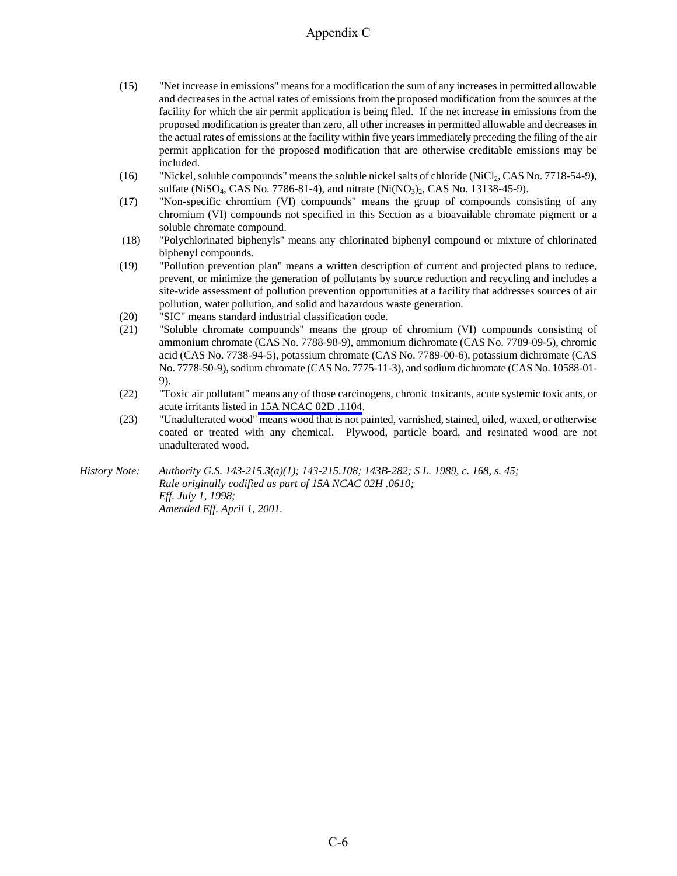- (15) "Net increase in emissions" means for a modification the sum of any increases in permitted allowable and decreases in the actual rates of emissions from the proposed modification from the sources at the facility for which the air permit application is being filed. If the net increase in emissions from the proposed modification is greater than zero, all other increases in permitted allowable and decreases in the actual rates of emissions at the facility within five years immediately preceding the filing of the air permit application for the proposed modification that are otherwise creditable emissions may be included.
- (16) "Nickel, soluble compounds" means the soluble nickel salts of chloride (NiCl2, CAS No. 7718-54-9), sulfate (NiSO<sub>4</sub>, CAS No. 7786-81-4), and nitrate (Ni(NO<sub>3</sub>)<sub>2</sub>, CAS No. 13138-45-9).
- (17) "Non-specific chromium (VI) compounds" means the group of compounds consisting of any chromium (VI) compounds not specified in this Section as a bioavailable chromate pigment or a soluble chromate compound.
- (18) "Polychlorinated biphenyls" means any chlorinated biphenyl compound or mixture of chlorinated biphenyl compounds.
- (19) "Pollution prevention plan" means a written description of current and projected plans to reduce, prevent, or minimize the generation of pollutants by source reduction and recycling and includes a site-wide assessment of pollution prevention opportunities at a facility that addresses sources of air pollution, water pollution, and solid and hazardous waste generation.
- (20) "SIC" means standard industrial classification code.
- (21) "Soluble chromate compounds" means the group of chromium (VI) compounds consisting of ammonium chromate (CAS No. 7788-98-9), ammonium dichromate (CAS No. 7789-09-5), chromic acid (CAS No. 7738-94-5), potassium chromate (CAS No. 7789-00-6), potassium dichromate (CAS No. 7778-50-9), sodium chromate (CAS No. 7775-11-3), and sodium dichromate (CAS No. 10588-01- 9).
- (22) "Toxic air pollutant" means any of those carcinogens, chronic toxicants, acute systemic toxicants, or acute irritants listed i[n 15A NCAC 02D .1104.](http://daq.state.nc.us/rules/rules/D1104.pdf)
- (23) "Unadulterated wood" means wood that is not painted, varnished, stained, oiled, waxed, or otherwise coated or treated with any chemical. Plywood, particle board, and resinated wood are not unadulterated wood.

*History Note: Authority G.S. 143-215.3(a)(1); 143-215.108; 143B-282; S L. 1989, c. 168, s. 45; Rule originally codified as part of 15A NCAC 02H .0610; Eff. July 1, 1998; Amended Eff. April 1, 2001.*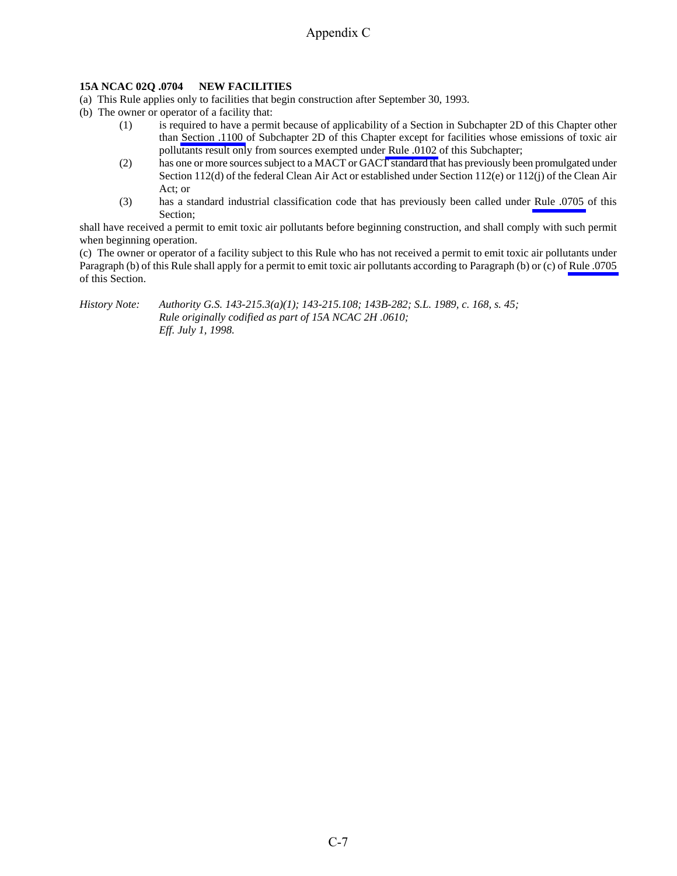## **15A NCAC 02Q .0704 NEW FACILITIES**

(a) This Rule applies only to facilities that begin construction after September 30, 1993.

- (b) The owner or operator of a facility that:
	- (1) is required to have a permit because of applicability of a Section in Subchapter 2D of this Chapter other than [Section .1100](http://daq.state.nc.us/rules/rules/secD1100.pdf) of Subchapter 2D of this Chapter except for facilities whose emissions of toxic air pollutants result only from sources exempted under [Rule .0102](http://daq.state.nc.us/rules/rules/Q0102.pdf) of this Subchapter;
	- (2) has one or more sources subject to a MACT or GACT standard that has previously been promulgated under Section 112(d) of the federal Clean Air Act or established under Section 112(e) or 112(j) of the Clean Air Act; or
	- (3) has a standard industrial classification code that has previously been called under [Rule .0705](http://daq.state.nc.us/rules/rules/Q0705.pdf) of this Section;

shall have received a permit to emit toxic air pollutants before beginning construction, and shall comply with such permit when beginning operation.

(c) The owner or operator of a facility subject to this Rule who has not received a permit to emit toxic air pollutants under Paragraph (b) of this Rule shall apply for a permit to emit toxic air pollutants according to Paragraph (b) or (c) of [Rule .0705](http://daq.state.nc.us/rules/rules/Q0705.pdf)  of this Section.

#### *History Note: Authority G.S. 143-215.3(a)(1); 143-215.108; 143B-282; S.L. 1989, c. 168, s. 45; Rule originally codified as part of 15A NCAC 2H .0610; Eff. July 1, 1998.*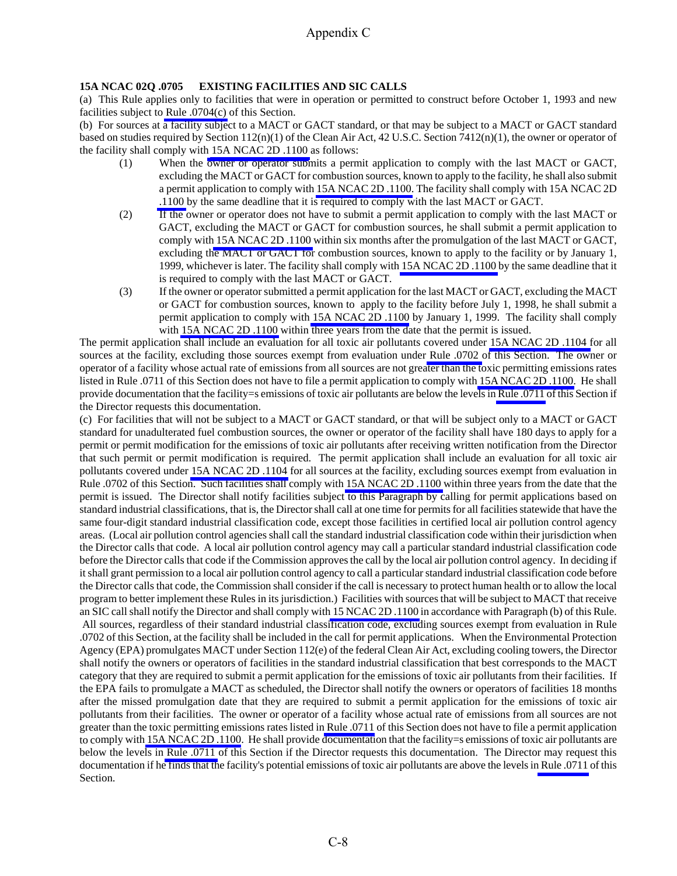## **15A NCAC 02Q .0705 EXISTING FACILITIES AND SIC CALLS**

(a) This Rule applies only to facilities that were in operation or permitted to construct before October 1, 1993 and new facilities subject to [Rule .0704\(c\)](http://daq.state.nc.us/rules/rules/Q0704.pdf) of this Section.

(b) For sources at a facility subject to a MACT or GACT standard, or that may be subject to a MACT or GACT standard based on studies required by Section  $112(n)(1)$  of the Clean Air Act, 42 U.S.C. Section 7412(n)(1), the owner or operator of the facility shall comply wit[h](http://daq.state.nc.us/rules/rules/secD1100.pdf) [15A NCAC 2D .1100 a](http://staging.daq.state.nc.us/rules/rules/D1110.pdf)s follows:

- (1) When the owner or operator submits a permit application to comply with the last MACT or GACT, excluding the MACT or GACT for combustion sources, known to apply to the facility, he shall also submit a permit application to comply with [15A NCAC 2D .1100.](http://daq.state.nc.us/rules/rules/secD1100.pdf) The facility shall comply with 15A NCAC 2D [.1100](http://daq.state.nc.us/rules/rules/secD1100.pdf) by the same deadline that it is required to comply with the last MACT or GACT.
- (2) If the owner or operator does not have to submit a permit application to comply with the last MACT or GACT, excluding the MACT or GACT for combustion sources, he shall submit a permit application to comply wit[h 15A NCAC 2D .1100](http://daq.state.nc.us/rules/rules/secD1100.pdf) within six months after the promulgation of the last MACT or GACT, excluding the MACT or GACT for combustion sources, known to apply to the facility or by January 1, 1999, whichever is later. The facility shall comply wit[h 15A NCAC 2D .1100](http://daq.state.nc.us/rules/rules/secD1100.pdf) by the same deadline that it is required to comply with the last MACT or GACT.
- (3) If the owner or operator submitted a permit application for the last MACT or GACT, excluding the MACT or GACT for combustion sources, known to apply to the facility before July 1, 1998, he shall submit a permit application to comply with [15A NCAC 2D .1100](http://daq.state.nc.us/rules/rules/secD1100.pdf) by January 1, 1999. The facility shall comply with [15A NCAC 2D .1100](http://daq.state.nc.us/rules/rules/secD1100.pdf) within three years from the date that the permit is issued.

The permit application shall include an evaluation for all toxic air pollutants covered under [15A NCAC 2D .1104 f](http://daq.state.nc.us/rules/rules/D1104.pdf)or all sources at the facility, excluding those sources exempt from evaluation under [Rule .0702](http://daq.state.nc.us/rules/rules/Q0702.pdf) of this Section. The owner or operator of a facility whose actual rate of emissions from all sources are not greater than the toxic permitting emissions rates listed in Rule .0711 of this Section does not have to file a permit application to comply with [15A NCAC 2D .1100.](http://daq.state.nc.us/rules/rules/secD1100.pdf) He shall provide documentation that the facility=s emissions of toxic air pollutants are below the levels in [Rule .0711](http://daq.state.nc.us/rules/rules/Q0711.pdf) of this Section if the Director requests this documentation.

(c) For facilities that will not be subject to a MACT or GACT standard, or that will be subject only to a MACT or GACT standard for unadulterated fuel combustion sources, the owner or operator of the facility shall have 180 days to apply for a permit or permit modification for the emissions of toxic air pollutants after receiving written notification from the Director that such permit or permit modification is required. The permit application shall include an evaluation for all toxic air pollutants covered under [15A NCAC 2D .1104](http://daq.state.nc.us/rules/rules/D1104.pdf) for all sources at the facility, excluding sources exempt from evaluation in Rule .0702 of this Section. Such facilities shall comply with [15A NCAC 2D .1100](http://daq.state.nc.us/rules/rules/secD1100.pdf) within three years from the date that the permit is issued. The Director shall notify facilities subject to this Paragraph by calling for permit applications based on standard industrial classifications, that is, the Director shall call at one time for permits for all facilities statewide that have the same four-digit standard industrial classification code, except those facilities in certified local air pollution control agency areas. (Local air pollution control agencies shall call the standard industrial classification code within their jurisdiction when the Director calls that code. A local air pollution control agency may call a particular standard industrial classification code before the Director calls that code if the Commission approves the call by the local air pollution control agency. In deciding if it shall grant permission to a local air pollution control agency to call a particular standard industrial classification code before the Director calls that code, the Commission shall consider if the call is necessary to protect human health or to allow the local program to better implement these Rules in its jurisdiction.) Facilities with sources that will be subject to MACT that receive an SIC call shall notify the Director and shall comply wit[h 15 NCAC 2D .1100](http://daq.state.nc.us/rules/rules/secD1100.pdf) in accordance with Paragraph (b) of this Rule. All sources, regardless of their standard industrial classification code, excluding sources exempt from evaluation in Rule .0702 of this Section, at the facility shall be included in the call for permit applications. When the Environmental Protection Agency (EPA) promulgates MACT under Section 112(e) of the federal Clean Air Act, excluding cooling towers, the Director shall notify the owners or operators of facilities in the standard industrial classification that best corresponds to the MACT category that they are required to submit a permit application for the emissions of toxic air pollutants from their facilities. If the EPA fails to promulgate a MACT as scheduled, the Director shall notify the owners or operators of facilities 18 months after the missed promulgation date that they are required to submit a permit application for the emissions of toxic air pollutants from their facilities. The owner or operator of a facility whose actual rate of emissions from all sources are not greater than the toxic permitting emissions rates listed i[n Rule .0711](http://daq.state.nc.us/rules/rules/Q0711.pdf) of this Section does not have to file a permit application to comply with [15A NCAC 2D .1100](http://daq.state.nc.us/rules/rules/secD1100.pdf). He shall provide documentation that the facility=s emissions of toxic air pollutants are below the levels in [Rule .0711](http://daq.state.nc.us/rules/rules/Q0711.pdf) of this Section if the Director requests this documentation. The Director may request this documentation if he finds that the facility's potential emissions of toxic air pollutants are above the levels i[n Rule .0711](http://daq.state.nc.us/rules/rules/Q0711.pdf) of this Section.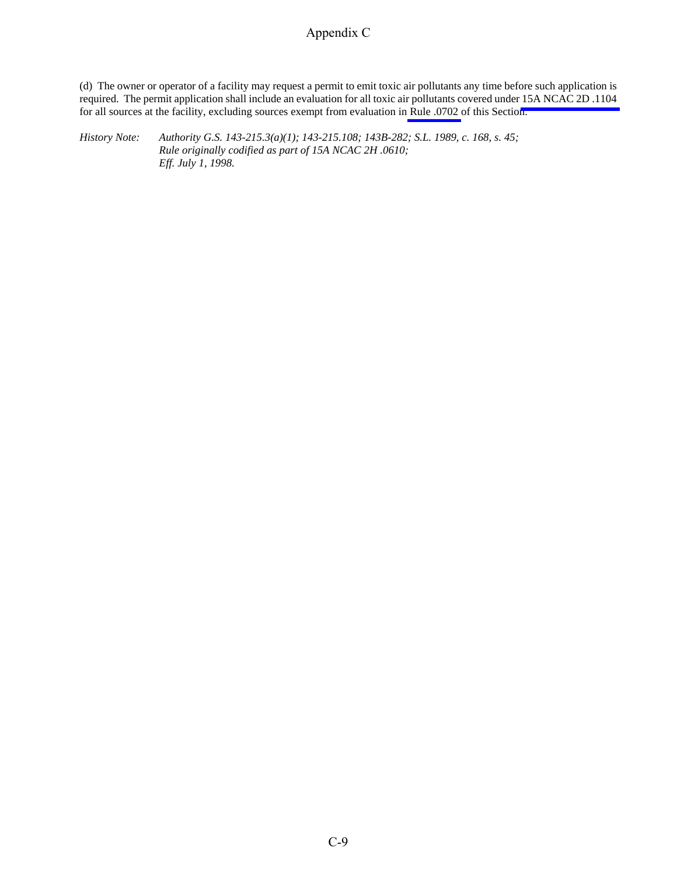(d) The owner or operator of a facility may request a permit to emit toxic air pollutants any time before such application is required. The permit application shall include an evaluation for all toxic air pollutants covered under [15A NCAC 2D .1104](http://daq.state.nc.us/rules/rules/D1104.pdf)  for all sources at the facility, excluding sources exempt from evaluation in [Rule .0702](http://daq.state.nc.us/rules/rules/Q0702.pdf) of this Section.

*History Note: Authority G.S. 143-215.3(a)(1); 143-215.108; 143B-282; S.L. 1989, c. 168, s. 45; Rule originally codified as part of 15A NCAC 2H .0610; Eff. July 1, 1998.*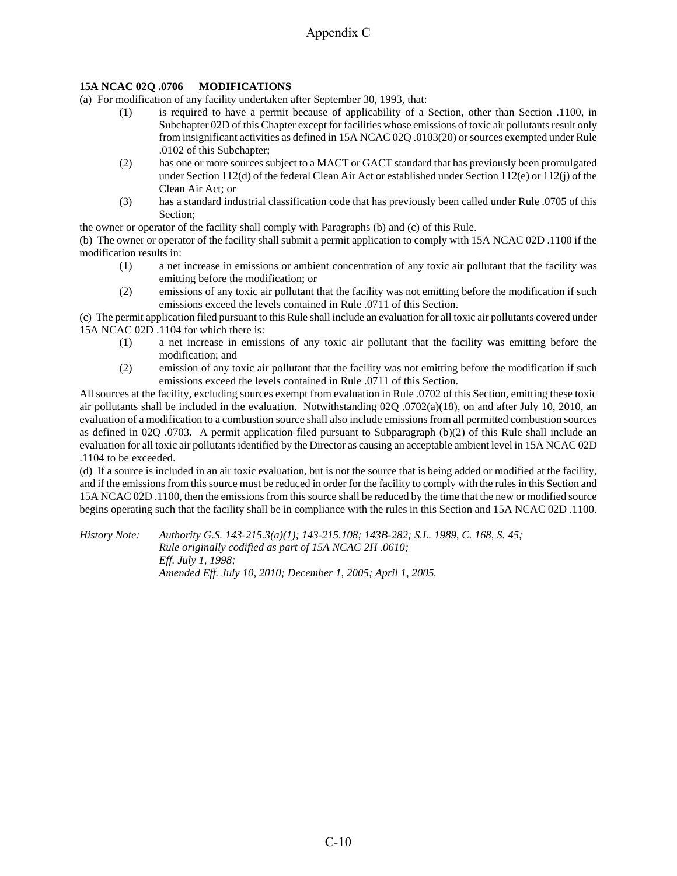## **15A NCAC 02Q .0706 MODIFICATIONS**

(a) For modification of any facility undertaken after September 30, 1993, that:

- (1) is required to have a permit because of applicability of a Section, other than Section .1100, in Subchapter 02D of this Chapter except for facilities whose emissions of toxic air pollutants result only from insignificant activities as defined in 15A NCAC 02Q .0103(20) or sources exempted under Rule .0102 of this Subchapter;
- (2) has one or more sources subject to a MACT or GACT standard that has previously been promulgated under Section 112(d) of the federal Clean Air Act or established under Section 112(e) or 112(j) of the Clean Air Act; or
- (3) has a standard industrial classification code that has previously been called under Rule .0705 of this Section;

the owner or operator of the facility shall comply with Paragraphs (b) and (c) of this Rule.

(b) The owner or operator of the facility shall submit a permit application to comply with 15A NCAC 02D .1100 if the modification results in:

- (1) a net increase in emissions or ambient concentration of any toxic air pollutant that the facility was emitting before the modification; or
- (2) emissions of any toxic air pollutant that the facility was not emitting before the modification if such emissions exceed the levels contained in Rule .0711 of this Section.

(c) The permit application filed pursuant to this Rule shall include an evaluation for all toxic air pollutants covered under 15A NCAC 02D .1104 for which there is:

- (1) a net increase in emissions of any toxic air pollutant that the facility was emitting before the modification; and
- (2) emission of any toxic air pollutant that the facility was not emitting before the modification if such emissions exceed the levels contained in Rule .0711 of this Section.

All sources at the facility, excluding sources exempt from evaluation in Rule .0702 of this Section, emitting these toxic air pollutants shall be included in the evaluation. Notwithstanding 02Q .0702(a)(18), on and after July 10, 2010, an evaluation of a modification to a combustion source shall also include emissions from all permitted combustion sources as defined in 02Q .0703. A permit application filed pursuant to Subparagraph (b)(2) of this Rule shall include an evaluation for all toxic air pollutants identified by the Director as causing an acceptable ambient level in 15A NCAC 02D .1104 to be exceeded.

(d) If a source is included in an air toxic evaluation, but is not the source that is being added or modified at the facility, and if the emissions from this source must be reduced in order for the facility to comply with the rules in this Section and 15A NCAC 02D .1100, then the emissions from this source shall be reduced by the time that the new or modified source begins operating such that the facility shall be in compliance with the rules in this Section and 15A NCAC 02D .1100.

*History Note: Authority G.S. 143-215.3(a)(1); 143-215.108; 143B-282; S.L. 1989, C. 168, S. 45; Rule originally codified as part of 15A NCAC 2H .0610; Eff. July 1, 1998; Amended Eff. July 10, 2010; December 1, 2005; April 1, 2005.*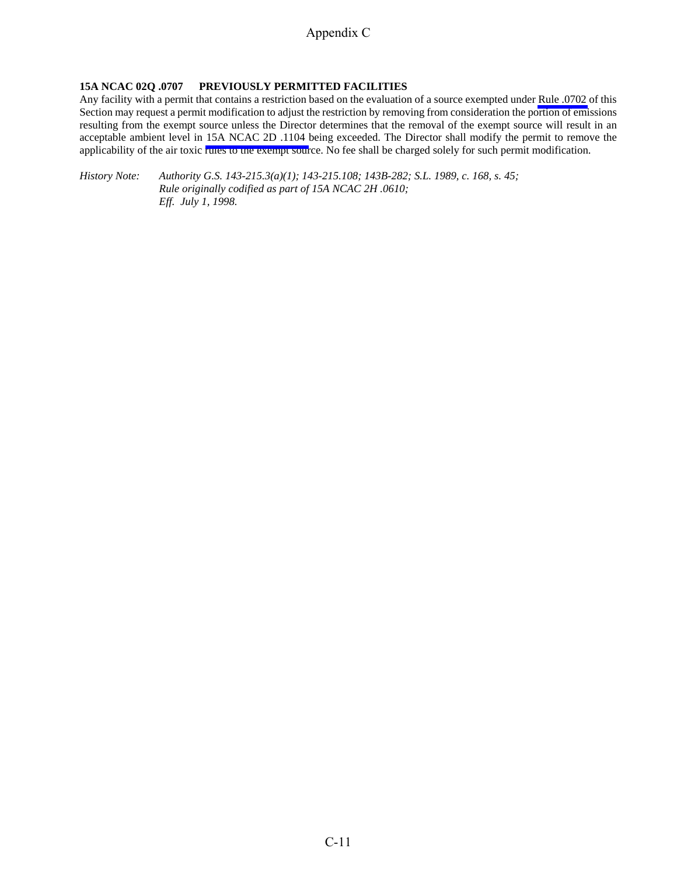### **15A NCAC 02Q .0707 PREVIOUSLY PERMITTED FACILITIES**

Any facility with a permit that contains a restriction based on the evaluation of a source exempted under [Rule .0702](http://daq.state.nc.us/rules/rules/Q0702.pdf) of this Section may request a permit modification to adjust the restriction by removing from consideration the portion of emissions resulting from the exempt source unless the Director determines that the removal of the exempt source will result in an acceptable ambient level in [15A NCAC 2D .1104](http://daq.state.nc.us/rules/rules/D1104.pdf) being exceeded. The Director shall modify the permit to remove the applicability of the air toxic rules to the exempt source. No fee shall be charged solely for such permit modification.

*History Note: Authority G.S. 143-215.3(a)(1); 143-215.108; 143B-282; S.L. 1989, c. 168, s. 45; Rule originally codified as part of 15A NCAC 2H .0610; Eff. July 1, 1998.*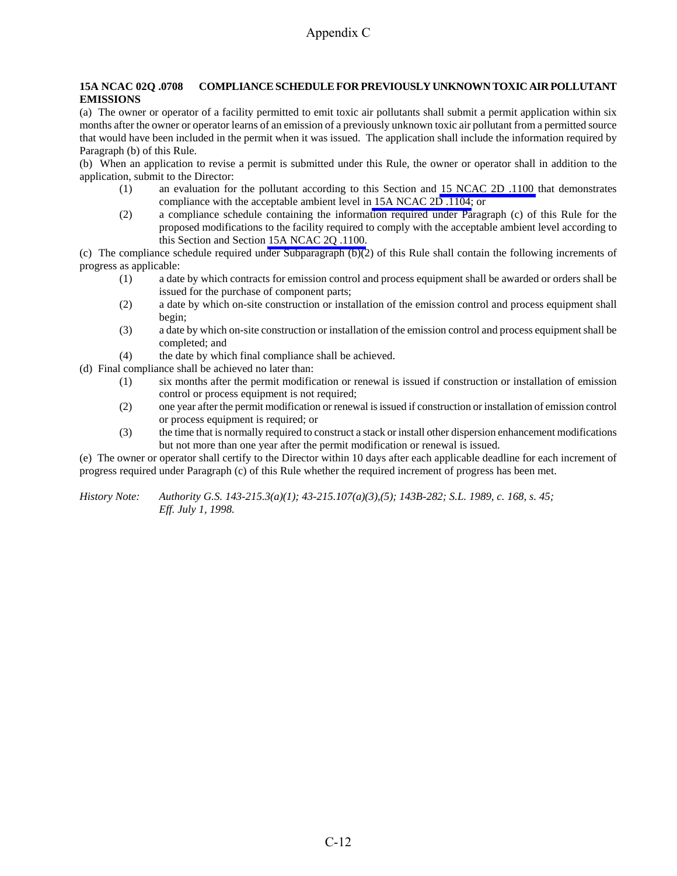#### **15A NCAC 02Q .0708 COMPLIANCE SCHEDULE FOR PREVIOUSLY UNKNOWN TOXIC AIR POLLUTANT EMISSIONS**

(a) The owner or operator of a facility permitted to emit toxic air pollutants shall submit a permit application within six months after the owner or operator learns of an emission of a previously unknown toxic air pollutant from a permitted source that would have been included in the permit when it was issued. The application shall include the information required by Paragraph (b) of this Rule.

(b) When an application to revise a permit is submitted under this Rule, the owner or operator shall in addition to the application, submit to the Director:

- (1) an evaluation for the pollutant according to this Section and [15 NCAC 2D .1100](http://daq.state.nc.us/rules/rules/secD1100.pdf) that demonstrates compliance with the acceptable ambient level i[n 15A NCAC 2D .1104;](http://daq.state.nc.us/rules/rules/D1104.pdf) or
- (2) a compliance schedule containing the information required under Paragraph (c) of this Rule for the proposed modifications to the facility required to comply with the acceptable ambient level according to this Section and Section [15A NCAC 2Q .1100.](http://daq.state.nc.us/rules/rules/secD1100.pdf)

(c) The compliance schedule required under Subparagraph (b)(2) of this Rule shall contain the following increments of progress as applicable:

- (1) a date by which contracts for emission control and process equipment shall be awarded or orders shall be issued for the purchase of component parts;
- (2) a date by which on-site construction or installation of the emission control and process equipment shall begin;
- (3) a date by which on-site construction or installation of the emission control and process equipment shall be completed; and
- (4) the date by which final compliance shall be achieved.

(d) Final compliance shall be achieved no later than:

- (1) six months after the permit modification or renewal is issued if construction or installation of emission control or process equipment is not required;
- (2) one year after the permit modification or renewal is issued if construction or installation of emission control or process equipment is required; or
- (3) the time that is normally required to construct a stack or install other dispersion enhancement modifications but not more than one year after the permit modification or renewal is issued.

(e) The owner or operator shall certify to the Director within 10 days after each applicable deadline for each increment of progress required under Paragraph (c) of this Rule whether the required increment of progress has been met.

*History Note: Authority G.S. 143-215.3(a)(1); 43-215.107(a)(3),(5); 143B-282; S.L. 1989, c. 168, s. 45; Eff. July 1, 1998.*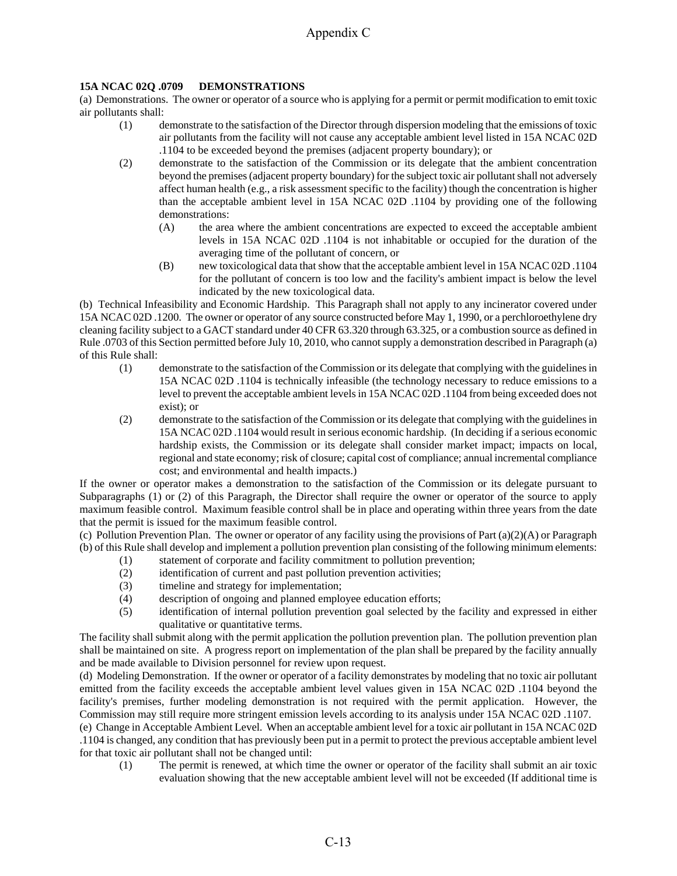## **15A NCAC 02Q .0709 DEMONSTRATIONS**

(a) Demonstrations. The owner or operator of a source who is applying for a permit or permit modification to emit toxic air pollutants shall:

- (1) demonstrate to the satisfaction of the Director through dispersion modeling that the emissions of toxic air pollutants from the facility will not cause any acceptable ambient level listed in 15A NCAC 02D .1104 to be exceeded beyond the premises (adjacent property boundary); or
- (2) demonstrate to the satisfaction of the Commission or its delegate that the ambient concentration beyond the premises (adjacent property boundary) for the subject toxic air pollutant shall not adversely affect human health (e.g., a risk assessment specific to the facility) though the concentration is higher than the acceptable ambient level in 15A NCAC 02D .1104 by providing one of the following demonstrations:
	- (A) the area where the ambient concentrations are expected to exceed the acceptable ambient levels in 15A NCAC 02D .1104 is not inhabitable or occupied for the duration of the averaging time of the pollutant of concern, or
	- (B) new toxicological data that show that the acceptable ambient level in 15A NCAC 02D .1104 for the pollutant of concern is too low and the facility's ambient impact is below the level indicated by the new toxicological data.

(b) Technical Infeasibility and Economic Hardship. This Paragraph shall not apply to any incinerator covered under 15A NCAC 02D .1200. The owner or operator of any source constructed before May 1, 1990, or a perchloroethylene dry cleaning facility subject to a GACT standard under 40 CFR 63.320 through 63.325, or a combustion source as defined in Rule .0703 of this Section permitted before July 10, 2010, who cannot supply a demonstration described in Paragraph (a) of this Rule shall:

- (1) demonstrate to the satisfaction of the Commission or its delegate that complying with the guidelines in 15A NCAC 02D .1104 is technically infeasible (the technology necessary to reduce emissions to a level to prevent the acceptable ambient levels in 15A NCAC 02D .1104 from being exceeded does not exist); or
- (2) demonstrate to the satisfaction of the Commission or its delegate that complying with the guidelines in 15A NCAC 02D .1104 would result in serious economic hardship. (In deciding if a serious economic hardship exists, the Commission or its delegate shall consider market impact; impacts on local, regional and state economy; risk of closure; capital cost of compliance; annual incremental compliance cost; and environmental and health impacts.)

If the owner or operator makes a demonstration to the satisfaction of the Commission or its delegate pursuant to Subparagraphs (1) or (2) of this Paragraph, the Director shall require the owner or operator of the source to apply maximum feasible control. Maximum feasible control shall be in place and operating within three years from the date that the permit is issued for the maximum feasible control.

(c) Pollution Prevention Plan. The owner or operator of any facility using the provisions of Part  $(a)(2)(A)$  or Paragraph (b) of this Rule shall develop and implement a pollution prevention plan consisting of the following minimum elements:

- (1) statement of corporate and facility commitment to pollution prevention;
- (2) identification of current and past pollution prevention activities;
- (3) timeline and strategy for implementation;
- (4) description of ongoing and planned employee education efforts;
- (5) identification of internal pollution prevention goal selected by the facility and expressed in either qualitative or quantitative terms.

The facility shall submit along with the permit application the pollution prevention plan. The pollution prevention plan shall be maintained on site. A progress report on implementation of the plan shall be prepared by the facility annually and be made available to Division personnel for review upon request.

(d) Modeling Demonstration. If the owner or operator of a facility demonstrates by modeling that no toxic air pollutant emitted from the facility exceeds the acceptable ambient level values given in 15A NCAC 02D .1104 beyond the facility's premises, further modeling demonstration is not required with the permit application. However, the Commission may still require more stringent emission levels according to its analysis under 15A NCAC 02D .1107.

(e) Change in Acceptable Ambient Level. When an acceptable ambient level for a toxic air pollutant in 15A NCAC 02D .1104 is changed, any condition that has previously been put in a permit to protect the previous acceptable ambient level for that toxic air pollutant shall not be changed until:

(1) The permit is renewed, at which time the owner or operator of the facility shall submit an air toxic evaluation showing that the new acceptable ambient level will not be exceeded (If additional time is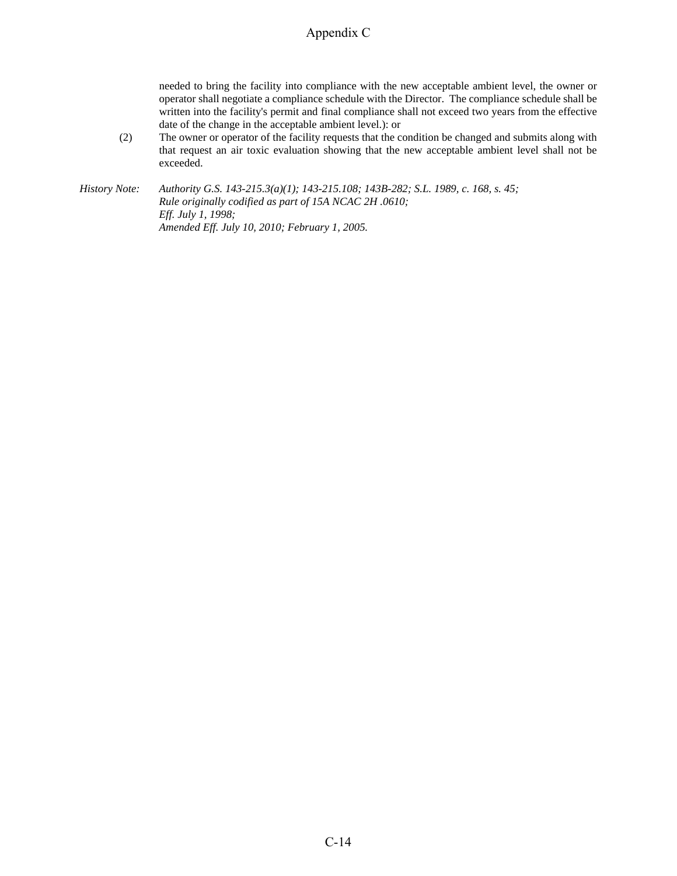needed to bring the facility into compliance with the new acceptable ambient level, the owner or operator shall negotiate a compliance schedule with the Director. The compliance schedule shall be written into the facility's permit and final compliance shall not exceed two years from the effective date of the change in the acceptable ambient level.): or

(2) The owner or operator of the facility requests that the condition be changed and submits along with that request an air toxic evaluation showing that the new acceptable ambient level shall not be exceeded.

*History Note: Authority G.S. 143-215.3(a)(1); 143-215.108; 143B-282; S.L. 1989, c. 168, s. 45; Rule originally codified as part of 15A NCAC 2H .0610; Eff. July 1, 1998; Amended Eff. July 10, 2010; February 1, 2005.*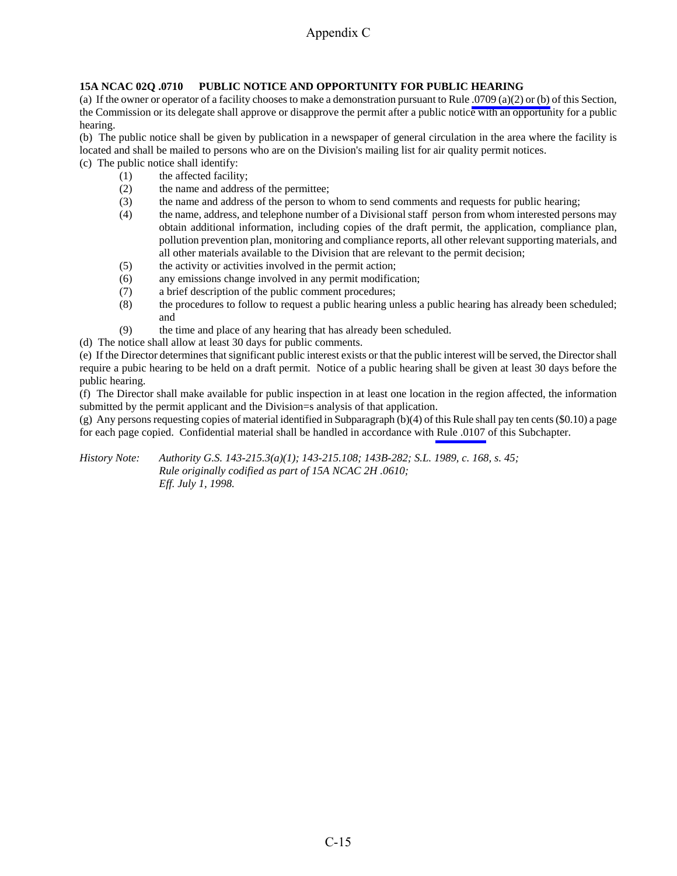## **15A NCAC 02Q .0710 PUBLIC NOTICE AND OPPORTUNITY FOR PUBLIC HEARING**

(a) If the owner or operator of a facility chooses to make a demonstration pursuant to Rule [.0709 \(a\)\(2\) or \(b\)](http://daq.state.nc.us/rules/rules/Q0709.pdf) of this Section, the Commission or its delegate shall approve or disapprove the permit after a public notice with an opportunity for a public hearing.

(b) The public notice shall be given by publication in a newspaper of general circulation in the area where the facility is located and shall be mailed to persons who are on the Division's mailing list for air quality permit notices.

- (c) The public notice shall identify:
	- (1) the affected facility;
	- (2) the name and address of the permittee;
	- (3) the name and address of the person to whom to send comments and requests for public hearing;
	- (4) the name, address, and telephone number of a Divisional staff person from whom interested persons may obtain additional information, including copies of the draft permit, the application, compliance plan, pollution prevention plan, monitoring and compliance reports, all other relevant supporting materials, and all other materials available to the Division that are relevant to the permit decision;
	- (5) the activity or activities involved in the permit action;
	- (6) any emissions change involved in any permit modification;
	- (7) a brief description of the public comment procedures;
	- (8) the procedures to follow to request a public hearing unless a public hearing has already been scheduled; and
	- (9) the time and place of any hearing that has already been scheduled.
- (d) The notice shall allow at least 30 days for public comments.

(e) If the Director determines that significant public interest exists or that the public interest will be served, the Director shall require a pubic hearing to be held on a draft permit. Notice of a public hearing shall be given at least 30 days before the public hearing.

(f) The Director shall make available for public inspection in at least one location in the region affected, the information submitted by the permit applicant and the Division=s analysis of that application.

(g) Any persons requesting copies of material identified in Subparagraph (b)(4) of this Rule shall pay ten cents (\$0.10) a page for each page copied. Confidential material shall be handled in accordance with [Rule .0107](http://daq.state.nc.us/rules/rules/Q0107.pdf) of this Subchapter.

*History Note: Authority G.S. 143-215.3(a)(1); 143-215.108; 143B-282; S.L. 1989, c. 168, s. 45; Rule originally codified as part of 15A NCAC 2H .0610; Eff. July 1, 1998.*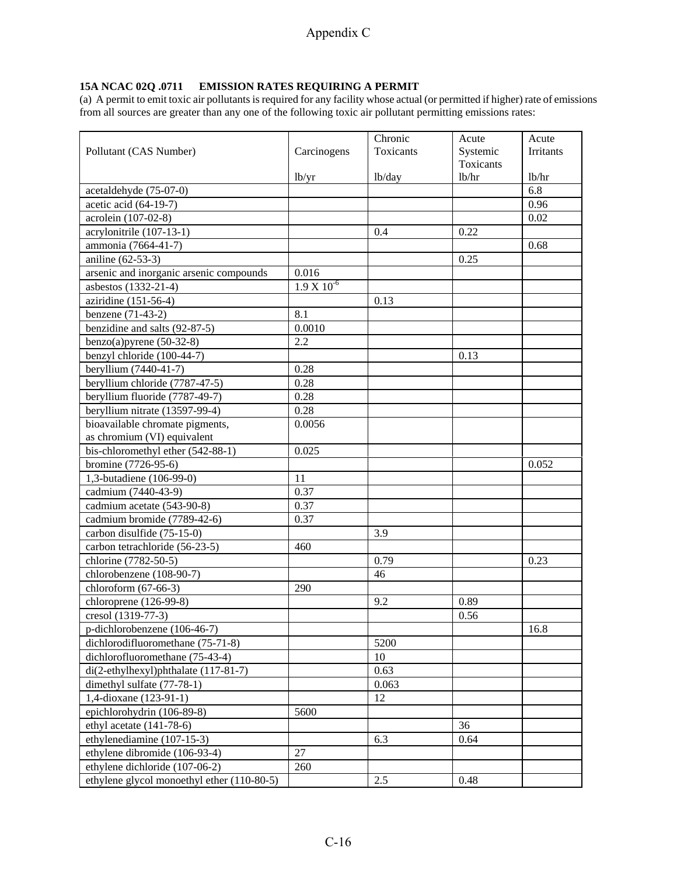#### **15A NCAC 02Q .0711 EMISSION RATES REQUIRING A PERMIT**

(a) A permit to emit toxic air pollutants is required for any facility whose actual (or permitted if higher) rate of emissions from all sources are greater than any one of the following toxic air pollutant permitting emissions rates:

| Pollutant (CAS Number)                        | Carcinogens        | Chronic<br>Toxicants | Acute<br>Systemic | Acute<br><b>Irritants</b> |
|-----------------------------------------------|--------------------|----------------------|-------------------|---------------------------|
|                                               |                    |                      | Toxicants         |                           |
|                                               | 1 <sub>b</sub> /yr | lb/day               | 1b/hr             | lb/hr                     |
| acetaldehyde (75-07-0)                        |                    |                      |                   | 6.8                       |
| acetic acid (64-19-7)                         |                    |                      |                   | 0.96                      |
| acrolein (107-02-8)                           |                    |                      |                   | 0.02                      |
| acrylonitrile (107-13-1)                      |                    | 0.4                  | 0.22              |                           |
| ammonia (7664-41-7)                           |                    |                      |                   | 0.68                      |
| aniline (62-53-3)                             |                    |                      | 0.25              |                           |
| arsenic and inorganic arsenic compounds       | 0.016              |                      |                   |                           |
| asbestos (1332-21-4)                          | $1.9 X 10^{-6}$    |                      |                   |                           |
| aziridine (151-56-4)                          |                    | 0.13                 |                   |                           |
| benzene (71-43-2)                             | 8.1                |                      |                   |                           |
| benzidine and salts (92-87-5)                 | 0.0010             |                      |                   |                           |
| $\overline{\text{benzo}}(a)$ pyrene (50-32-8) | 2.2                |                      |                   |                           |
| benzyl chloride (100-44-7)                    |                    |                      | 0.13              |                           |
| beryllium (7440-41-7)                         | 0.28               |                      |                   |                           |
| beryllium chloride (7787-47-5)                | 0.28               |                      |                   |                           |
| beryllium fluoride (7787-49-7)                | 0.28               |                      |                   |                           |
| beryllium nitrate (13597-99-4)                | 0.28               |                      |                   |                           |
| bioavailable chromate pigments,               | 0.0056             |                      |                   |                           |
| as chromium (VI) equivalent                   |                    |                      |                   |                           |
| bis-chloromethyl ether (542-88-1)             | 0.025              |                      |                   |                           |
| bromine (7726-95-6)                           |                    |                      |                   | 0.052                     |
| 1,3-butadiene (106-99-0)                      | 11                 |                      |                   |                           |
| cadmium (7440-43-9)                           | 0.37               |                      |                   |                           |
| cadmium acetate (543-90-8)                    | 0.37               |                      |                   |                           |
| cadmium bromide (7789-42-6)                   | 0.37               |                      |                   |                           |
| carbon disulfide (75-15-0)                    |                    | 3.9                  |                   |                           |
| carbon tetrachloride (56-23-5)                | 460                |                      |                   |                           |
| chlorine (7782-50-5)                          |                    | 0.79                 |                   | 0.23                      |
| chlorobenzene (108-90-7)                      |                    | 46                   |                   |                           |
| chloroform $(67-66-3)$                        | 290                |                      |                   |                           |
| chloroprene (126-99-8)                        |                    | 9.2                  | 0.89              |                           |
| cresol (1319-77-3)                            |                    |                      | 0.56              |                           |
| p-dichlorobenzene (106-46-7)                  |                    |                      |                   | 16.8                      |
| dichlorodifluoromethane (75-71-8)             |                    | 5200                 |                   |                           |
| dichlorofluoromethane (75-43-4)               |                    | 10                   |                   |                           |
| di(2-ethylhexyl)phthalate (117-81-7)          |                    | 0.63                 |                   |                           |
| dimethyl sulfate (77-78-1)                    |                    | 0.063                |                   |                           |
| 1,4-dioxane (123-91-1)                        |                    | 12                   |                   |                           |
| epichlorohydrin (106-89-8)                    | 5600               |                      |                   |                           |
| ethyl acetate $(141-78-6)$                    |                    |                      | 36                |                           |
| ethylenediamine (107-15-3)                    |                    | 6.3                  | 0.64              |                           |
| ethylene dibromide (106-93-4)                 | 27                 |                      |                   |                           |
| ethylene dichloride (107-06-2)                | 260                |                      |                   |                           |
| ethylene glycol monoethyl ether (110-80-5)    |                    | 2.5                  | 0.48              |                           |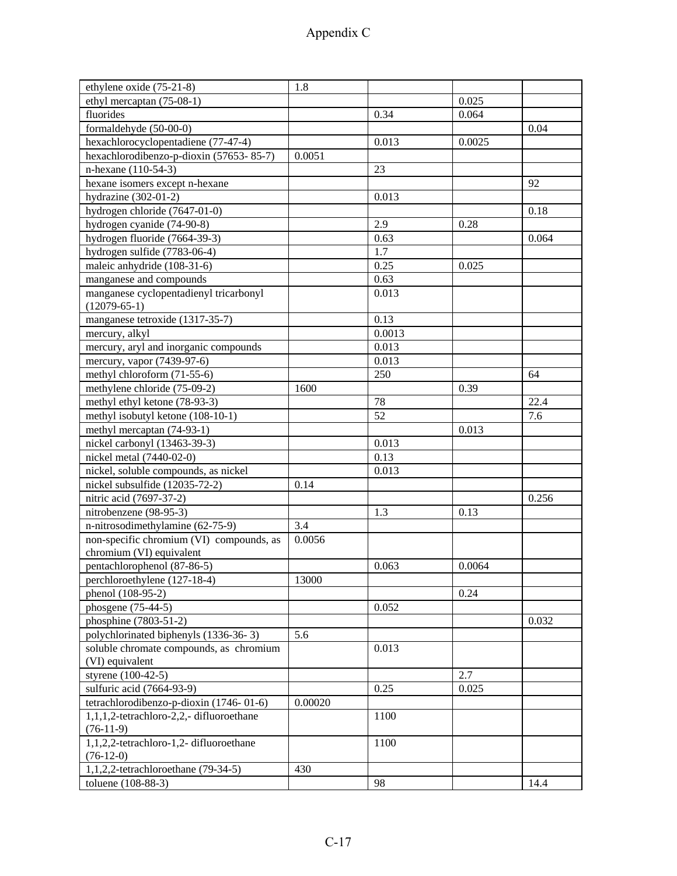| ethylene oxide (75-21-8)                           | 1.8     |        |        |       |
|----------------------------------------------------|---------|--------|--------|-------|
| ethyl mercaptan (75-08-1)                          |         |        | 0.025  |       |
| fluorides                                          |         | 0.34   | 0.064  |       |
| formaldehyde (50-00-0)                             |         |        |        | 0.04  |
| hexachlorocyclopentadiene (77-47-4)                |         | 0.013  | 0.0025 |       |
| hexachlorodibenzo-p-dioxin (57653-85-7)            | 0.0051  |        |        |       |
| n-hexane (110-54-3)                                |         | 23     |        |       |
| hexane isomers except n-hexane                     |         |        |        | 92    |
| hydrazine $(302-01-2)$                             |         | 0.013  |        |       |
| hydrogen chloride (7647-01-0)                      |         |        |        | 0.18  |
| hydrogen cyanide (74-90-8)                         |         | 2.9    | 0.28   |       |
| hydrogen fluoride (7664-39-3)                      |         | 0.63   |        | 0.064 |
| hydrogen sulfide (7783-06-4)                       |         | 1.7    |        |       |
| maleic anhydride (108-31-6)                        |         | 0.25   | 0.025  |       |
| manganese and compounds                            |         | 0.63   |        |       |
| manganese cyclopentadienyl tricarbonyl             |         | 0.013  |        |       |
| $(12079-65-1)$                                     |         |        |        |       |
| manganese tetroxide (1317-35-7)                    |         | 0.13   |        |       |
| mercury, alkyl                                     |         | 0.0013 |        |       |
| mercury, aryl and inorganic compounds              |         | 0.013  |        |       |
| mercury, vapor (7439-97-6)                         |         | 0.013  |        |       |
| methyl chloroform (71-55-6)                        |         | 250    |        | 64    |
| methylene chloride (75-09-2)                       | 1600    |        | 0.39   |       |
| methyl ethyl ketone (78-93-3)                      |         | 78     |        | 22.4  |
| methyl isobutyl ketone (108-10-1)                  |         | 52     |        | 7.6   |
| methyl mercaptan (74-93-1)                         |         |        | 0.013  |       |
| nickel carbonyl (13463-39-3)                       |         | 0.013  |        |       |
| nickel metal (7440-02-0)                           |         | 0.13   |        |       |
| nickel, soluble compounds, as nickel               |         |        |        |       |
|                                                    |         | 0.013  |        |       |
| nickel subsulfide (12035-72-2)                     | 0.14    |        |        |       |
| nitric acid (7697-37-2)                            |         |        |        | 0.256 |
| nitrobenzene (98-95-3)                             |         | 1.3    | 0.13   |       |
| n-nitrosodimethylamine (62-75-9)                   | 3.4     |        |        |       |
| non-specific chromium (VI) compounds, as           | 0.0056  |        |        |       |
| chromium (VI) equivalent                           |         |        |        |       |
| pentachlorophenol (87-86-5)                        | 13000   | 0.063  | 0.0064 |       |
| perchloroethylene (127-18-4)                       |         |        |        |       |
| phenol (108-95-2)                                  |         |        | 0.24   |       |
| phosgene (75-44-5)                                 |         | 0.052  |        |       |
| phosphine (7803-51-2)                              |         |        |        | 0.032 |
| polychlorinated biphenyls (1336-36-3)              | 5.6     |        |        |       |
| soluble chromate compounds, as chromium            |         | 0.013  |        |       |
| (VI) equivalent                                    |         |        |        |       |
| styrene (100-42-5)                                 |         |        | 2.7    |       |
| sulfuric acid (7664-93-9)                          |         | 0.25   | 0.025  |       |
| tetrachlorodibenzo-p-dioxin (1746-01-6)            | 0.00020 |        |        |       |
| 1,1,1,2-tetrachloro-2,2,-difluoroethane            |         | 1100   |        |       |
| $(76-11-9)$                                        |         |        |        |       |
| 1,1,2,2-tetrachloro-1,2-difluoroethane             |         | 1100   |        |       |
| $(76-12-0)$<br>1,1,2,2-tetrachloroethane (79-34-5) | 430     |        |        |       |
|                                                    |         |        |        |       |
| toluene (108-88-3)                                 |         | 98     |        | 14.4  |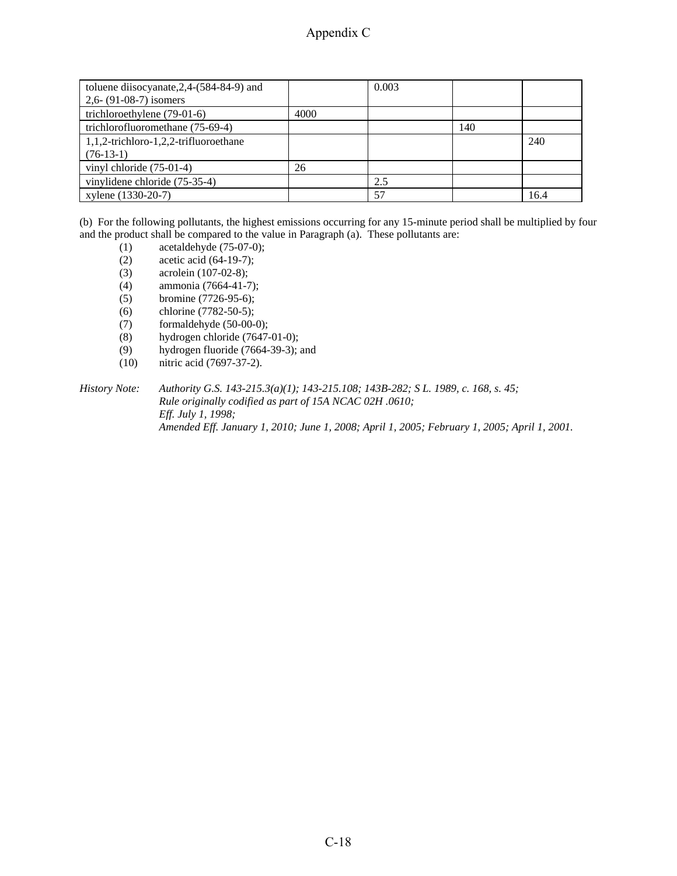| toluene diisocyanate, $2,4-(584-84-9)$ and |      | 0.003 |     |      |
|--------------------------------------------|------|-------|-----|------|
| $2,6 - (91-08-7)$ isomers                  |      |       |     |      |
| trichloroethylene (79-01-6)                | 4000 |       |     |      |
| trichlorofluoromethane (75-69-4)           |      |       | 140 |      |
| 1,1,2-trichloro-1,2,2-trifluoroethane      |      |       |     | 240  |
| $(76-13-1)$                                |      |       |     |      |
| vinyl chloride $(75-01-4)$                 | 26   |       |     |      |
| vinylidene chloride (75-35-4)              |      | 2.5   |     |      |
| xylene (1330-20-7)                         |      | 57    |     | 16.4 |

(b) For the following pollutants, the highest emissions occurring for any 15-minute period shall be multiplied by four and the product shall be compared to the value in Paragraph (a). These pollutants are:

- (1) acetaldehyde (75-07-0);
- (2) acetic acid (64-19-7);
- (3) acrolein (107-02-8);
- (4) ammonia (7664-41-7);
- (5) bromine (7726-95-6);
- (6) chlorine (7782-50-5);
- (7) formaldehyde (50-00-0);
- (8) hydrogen chloride (7647-01-0);
- (9) hydrogen fluoride (7664-39-3); and
- (10) nitric acid (7697-37-2).

*History Note: Authority G.S. 143-215.3(a)(1); 143-215.108; 143B-282; S L. 1989, c. 168, s. 45; Rule originally codified as part of 15A NCAC 02H .0610; Eff. July 1, 1998; Amended Eff. January 1, 2010; June 1, 2008; April 1, 2005; February 1, 2005; April 1, 2001.*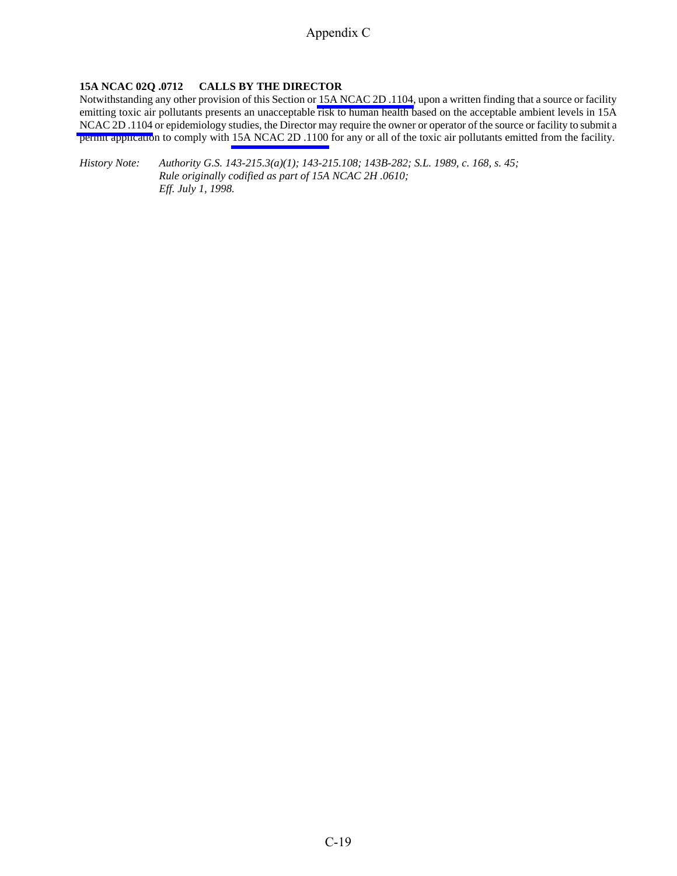## **15A NCAC 02Q .0712 CALLS BY THE DIRECTOR**

Notwithstanding any other provision of this Section or [15A NCAC 2D .1104,](http://daq.state.nc.us/rules/rules/D1104.pdf) upon a written finding that a source or facility emitting toxic air pollutants presents an unacceptable risk to human health based on the acceptable ambient levels in 15A [NCAC 2D .1104](http://daq.state.nc.us/rules/rules/D1104.pdf) or epidemiology studies, the Director may require the owner or operator of the source or facility to submit a permit application to comply with [15A NCAC 2D .1100](http://daq.state.nc.us/rules/rules/secD1100.pdf) for any or all of the toxic air pollutants emitted from the facility.

*History Note: Authority G.S. 143-215.3(a)(1); 143-215.108; 143B-282; S.L. 1989, c. 168, s. 45; Rule originally codified as part of 15A NCAC 2H .0610; Eff. July 1, 1998.*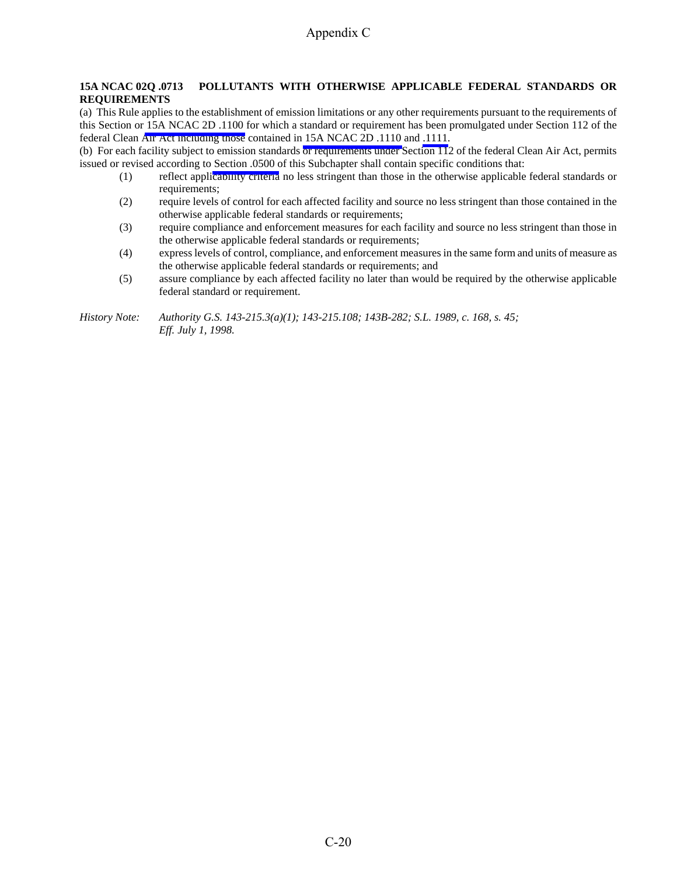## **15A NCAC 02Q .0713 POLLUTANTS WITH OTHERWISE APPLICABLE FEDERAL STANDARDS OR REQUIREMENTS**

(a) This Rule applies to the establishment of emission limitations or any other requirements pursuant to the requirements of this Section or [15A NCAC 2D .1100](http://daq.state.nc.us/rules/rules/secD1100.pdf) for which a standard or requirement has been promulgated under Section 112 of the federal Clean Air Act including those contained in [15A NCAC 2D .1110](http://daq.state.nc.us/rules/rules/D1110.pdf) and [.1111.](http://daq.state.nc.us/rules/rules/D1111.pdf)

(b) For each facility subject to emission standards or requirements under Section 112 of the federal Clean Air Act, permits issued or revised according to [Section .0500 o](http://daq.state.nc.us/rules/rules/secQ0500.pdf)f this Subchapter shall contain specific conditions that:

- (1) reflect applicability criteria no less stringent than those in the otherwise applicable federal standards or requirements;
- (2) require levels of control for each affected facility and source no less stringent than those contained in the otherwise applicable federal standards or requirements;
- (3) require compliance and enforcement measures for each facility and source no less stringent than those in the otherwise applicable federal standards or requirements;
- (4) express levels of control, compliance, and enforcement measures in the same form and units of measure as the otherwise applicable federal standards or requirements; and
- (5) assure compliance by each affected facility no later than would be required by the otherwise applicable federal standard or requirement.

*History Note: Authority G.S. 143-215.3(a)(1); 143-215.108; 143B-282; S.L. 1989, c. 168, s. 45; Eff. July 1, 1998.*